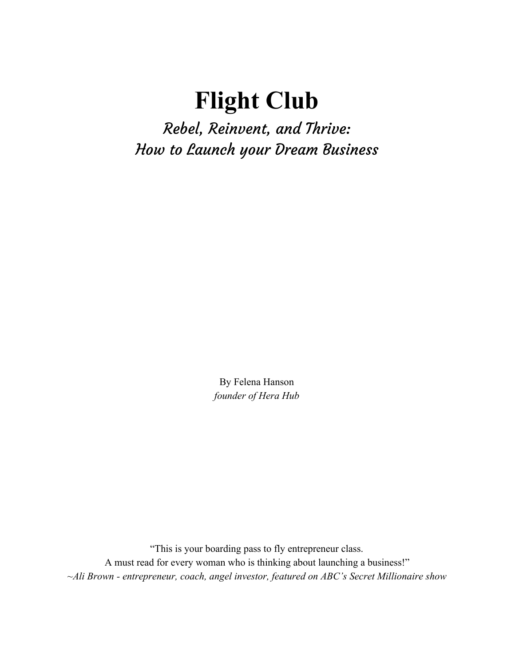# **Flight Club**

Rebel, Reinvent, and Thrive: How to Launch your Dream Business

> By Felena Hanson *founder of Hera Hub*

"This is your boarding pass to fly entrepreneur class. A must read for every woman who is thinking about launching a business!" *~Ali Brown - entrepreneur, coach, angel investor, featured on ABC's Secret Millionaire show*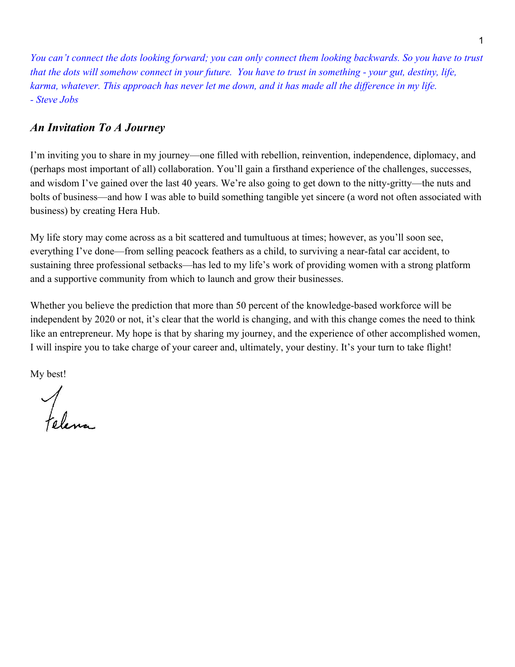*You can't connect the dots looking forward; you can only connect them looking backwards. So you have to trust that the dots will somehow connect in your future. You have to trust in something - your gut, destiny, life, karma, whatever. This approach has never let me down, and it has made all the difference in my life. - Steve Jobs*

# *An Invitation To A Journey*

I'm inviting you to share in my journey—one filled with rebellion, reinvention, independence, diplomacy, and (perhaps most important of all) collaboration. You'll gain a firsthand experience of the challenges, successes, and wisdom I've gained over the last 40 years. We're also going to get down to the nitty-gritty—the nuts and bolts of business—and how I was able to build something tangible yet sincere (a word not often associated with business) by creating Hera Hub.

My life story may come across as a bit scattered and tumultuous at times; however, as you'll soon see, everything I've done—from selling peacock feathers as a child, to surviving a near-fatal car accident, to sustaining three professional setbacks—has led to my life's work of providing women with a strong platform and a supportive community from which to launch and grow their businesses.

Whether you believe the prediction that more than 50 percent of the knowledge-based workforce will be independent by 2020 or not, it's clear that the world is changing, and with this change comes the need to think like an entrepreneur. My hope is that by sharing my journey, and the experience of other accomplished women, I will inspire you to take charge of your career and, ultimately, your destiny. It's your turn to take flight!

My best!

Televa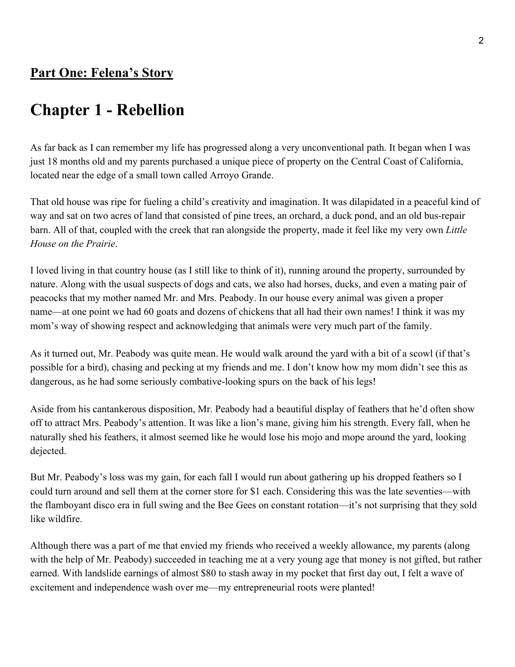# **Chapter 1 - Rebellion**

As far back as I can remember my life has progressed along a very unconventional path. It began when I was just 18 months old and my parents purchased a unique piece of property on the Central Coast of California, located near the edge of a small town called Arroyo Grande.

That old house was ripe for fueling a child's creativity and imagination. It was dilapidated in a peaceful kind of way and sat on two acres of land that consisted of pine trees, an orchard, a duck pond, and an old bus-repair barn. All of that, coupled with the creek that ran alongside the property, made it feel like my very own *Little House on the Prairie*.

I loved living in that country house (as I still like to think of it), running around the property, surrounded by nature. Along with the usual suspects of dogs and cats, we also had horses, ducks, and even a mating pair of peacocks that my mother named Mr. and Mrs. Peabody. In our house every animal was given a proper name—at one point we had 60 goats and dozens of chickens that all had their own names! I think it was my mom's way of showing respect and acknowledging that animals were very much part of the family.

As it turned out, Mr. Peabody was quite mean. He would walk around the yard with a bit of a scowl (if that's possible for a bird), chasing and pecking at my friends and me. I don't know how my mom didn't see this as dangerous, as he had some seriously combative-looking spurs on the back of his legs!

Aside from his cantankerous disposition, Mr. Peabody had a beautiful display of feathers that he'd often show off to attract Mrs. Peabody's attention. It was like a lion's mane, giving him his strength. Every fall, when he naturally shed his feathers, it almost seemed like he would lose his mojo and mope around the yard, looking dejected.

But Mr. Peabody's loss was my gain, for each fall I would run about gathering up his dropped feathers so I could turn around and sell them at the corner store for \$1 each. Considering this was the late seventies—with the flamboyant disco era in full swing and the Bee Gees on constant rotation—it's not surprising that they sold like wildfire.

Although there was a part of me that envied my friends who received a weekly allowance, my parents (along with the help of Mr. Peabody) succeeded in teaching me at a very young age that money is not gifted, but rather earned. With landslide earnings of almost \$80 to stash away in my pocket that first day out, I felt a wave of excitement and independence wash over me—my entrepreneurial roots were planted!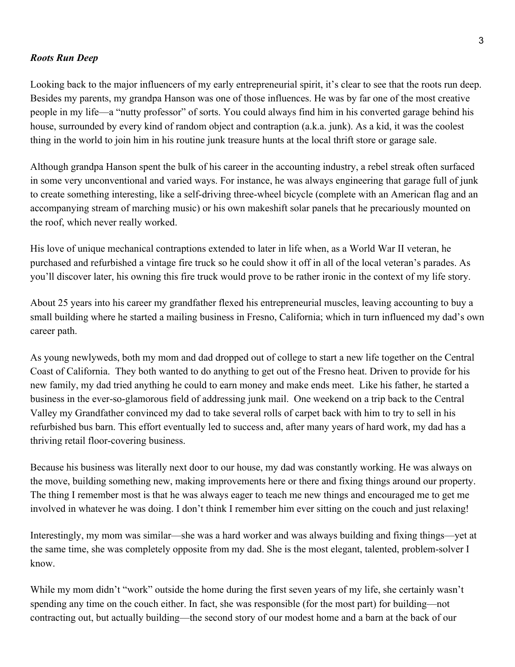#### *Roots Run Deep*

Looking back to the major influencers of my early entrepreneurial spirit, it's clear to see that the roots run deep. Besides my parents, my grandpa Hanson was one of those influences. He was by far one of the most creative people in my life—a "nutty professor" of sorts. You could always find him in his converted garage behind his house, surrounded by every kind of random object and contraption (a.k.a. junk). As a kid, it was the coolest thing in the world to join him in his routine junk treasure hunts at the local thrift store or garage sale.

Although grandpa Hanson spent the bulk of his career in the accounting industry, a rebel streak often surfaced in some very unconventional and varied ways. For instance, he was always engineering that garage full of junk to create something interesting, like a self-driving three-wheel bicycle (complete with an American flag and an accompanying stream of marching music) or his own makeshift solar panels that he precariously mounted on the roof, which never really worked.

His love of unique mechanical contraptions extended to later in life when, as a World War II veteran, he purchased and refurbished a vintage fire truck so he could show it off in all of the local veteran's parades. As you'll discover later, his owning this fire truck would prove to be rather ironic in the context of my life story.

About 25 years into his career my grandfather flexed his entrepreneurial muscles, leaving accounting to buy a small building where he started a mailing business in Fresno, California; which in turn influenced my dad's own career path.

As young newlyweds, both my mom and dad dropped out of college to start a new life together on the Central Coast of California. They both wanted to do anything to get out of the Fresno heat. Driven to provide for his new family, my dad tried anything he could to earn money and make ends meet. Like his father, he started a business in the ever-so-glamorous field of addressing junk mail. One weekend on a trip back to the Central Valley my Grandfather convinced my dad to take several rolls of carpet back with him to try to sell in his refurbished bus barn. This effort eventually led to success and, after many years of hard work, my dad has a thriving retail floor-covering business.

Because his business was literally next door to our house, my dad was constantly working. He was always on the move, building something new, making improvements here or there and fixing things around our property. The thing I remember most is that he was always eager to teach me new things and encouraged me to get me involved in whatever he was doing. I don't think I remember him ever sitting on the couch and just relaxing!

Interestingly, my mom was similar—she was a hard worker and was always building and fixing things—yet at the same time, she was completely opposite from my dad. She is the most elegant, talented, problem-solver I know.

While my mom didn't "work" outside the home during the first seven years of my life, she certainly wasn't spending any time on the couch either. In fact, she was responsible (for the most part) for building—not contracting out, but actually building—the second story of our modest home and a barn at the back of our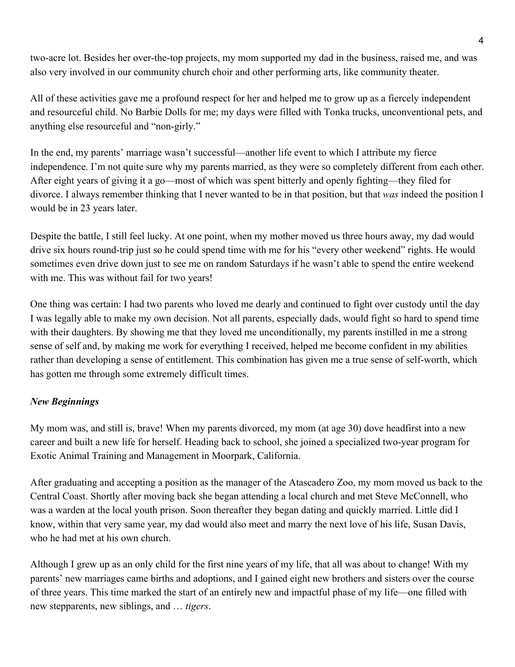two-acre lot. Besides her over-the-top projects, my mom supported my dad in the business, raised me, and was also very involved in our community church choir and other performing arts, like community theater.

All of these activities gave me a profound respect for her and helped me to grow up as a fiercely independent and resourceful child. No Barbie Dolls for me; my days were filled with Tonka trucks, unconventional pets, and anything else resourceful and "non-girly."

In the end, my parents' marriage wasn't successful—another life event to which I attribute my fierce independence. I'm not quite sure why my parents married, as they were so completely different from each other. After eight years of giving it a go—most of which was spent bitterly and openly fighting—they filed for divorce. I always remember thinking that I never wanted to be in that position, but that *was* indeed the position I would be in 23 years later.

Despite the battle, I still feel lucky. At one point, when my mother moved us three hours away, my dad would drive six hours round-trip just so he could spend time with me for his "every other weekend" rights. He would sometimes even drive down just to see me on random Saturdays if he wasn't able to spend the entire weekend with me. This was without fail for two years!

One thing was certain: I had two parents who loved me dearly and continued to fight over custody until the day I was legally able to make my own decision. Not all parents, especially dads, would fight so hard to spend time with their daughters. By showing me that they loved me unconditionally, my parents instilled in me a strong sense of self and, by making me work for everything I received, helped me become confident in my abilities rather than developing a sense of entitlement. This combination has given me a true sense of self-worth, which has gotten me through some extremely difficult times.

#### *New Beginnings*

My mom was, and still is, brave! When my parents divorced, my mom (at age 30) dove headfirst into a new career and built a new life for herself. Heading back to school, she joined a specialized two-year program for Exotic Animal Training and Management in Moorpark, California.

After graduating and accepting a position as the manager of the Atascadero Zoo, my mom moved us back to the Central Coast. Shortly after moving back she began attending a local church and met Steve McConnell, who was a warden at the local youth prison. Soon thereafter they began dating and quickly married. Little did I know, within that very same year, my dad would also meet and marry the next love of his life, Susan Davis, who he had met at his own church.

Although I grew up as an only child for the first nine years of my life, that all was about to change! With my parents' new marriages came births and adoptions, and I gained eight new brothers and sisters over the course of three years. This time marked the start of an entirely new and impactful phase of my life—one filled with new stepparents, new siblings, and … *tigers*.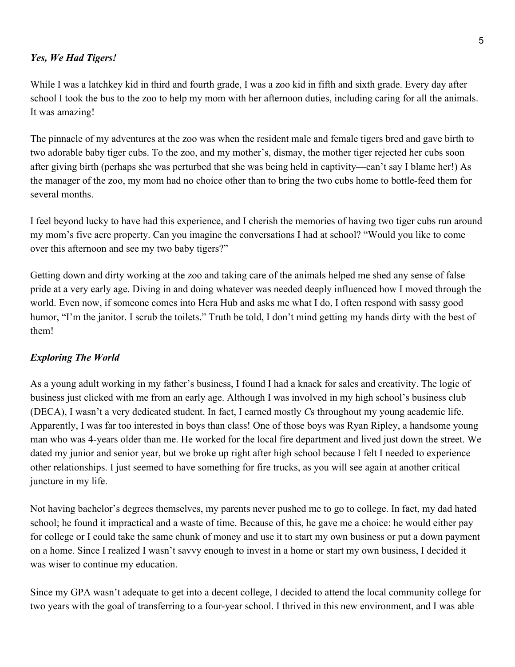#### *Yes, We Had Tigers!*

While I was a latchkey kid in third and fourth grade, I was a zoo kid in fifth and sixth grade. Every day after school I took the bus to the zoo to help my mom with her afternoon duties, including caring for all the animals. It was amazing!

The pinnacle of my adventures at the zoo was when the resident male and female tigers bred and gave birth to two adorable baby tiger cubs. To the zoo, and my mother's, dismay, the mother tiger rejected her cubs soon after giving birth (perhaps she was perturbed that she was being held in captivity—can't say I blame her!) As the manager of the zoo, my mom had no choice other than to bring the two cubs home to bottle-feed them for several months.

I feel beyond lucky to have had this experience, and I cherish the memories of having two tiger cubs run around my mom's five acre property. Can you imagine the conversations I had at school? "Would you like to come over this afternoon and see my two baby tigers?"

Getting down and dirty working at the zoo and taking care of the animals helped me shed any sense of false pride at a very early age. Diving in and doing whatever was needed deeply influenced how I moved through the world. Even now, if someone comes into Hera Hub and asks me what I do, I often respond with sassy good humor, "I'm the janitor. I scrub the toilets." Truth be told, I don't mind getting my hands dirty with the best of them!

#### *Exploring The World*

As a young adult working in my father's business, I found I had a knack for sales and creativity. The logic of business just clicked with me from an early age. Although I was involved in my high school's business club (DECA), I wasn't a very dedicated student. In fact, I earned mostly *C*s throughout my young academic life. Apparently, I was far too interested in boys than class! One of those boys was Ryan Ripley, a handsome young man who was 4-years older than me. He worked for the local fire department and lived just down the street. We dated my junior and senior year, but we broke up right after high school because I felt I needed to experience other relationships. I just seemed to have something for fire trucks, as you will see again at another critical juncture in my life.

Not having bachelor's degrees themselves, my parents never pushed me to go to college. In fact, my dad hated school; he found it impractical and a waste of time. Because of this, he gave me a choice: he would either pay for college or I could take the same chunk of money and use it to start my own business or put a down payment on a home. Since I realized I wasn't savvy enough to invest in a home or start my own business, I decided it was wiser to continue my education.

Since my GPA wasn't adequate to get into a decent college, I decided to attend the local community college for two years with the goal of transferring to a four-year school. I thrived in this new environment, and I was able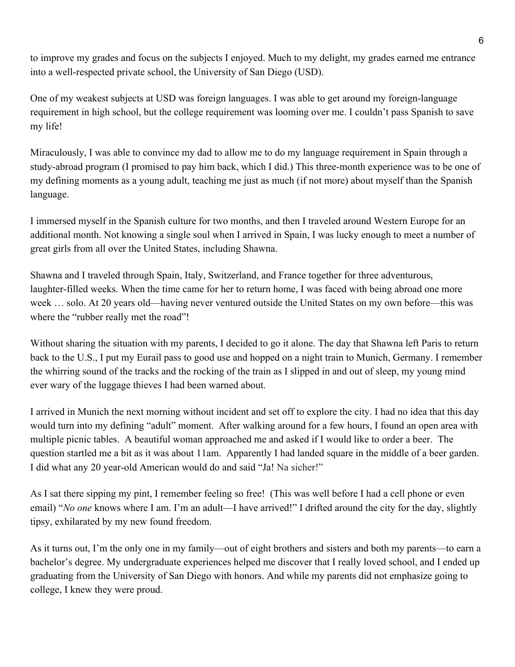to improve my grades and focus on the subjects I enjoyed. Much to my delight, my grades earned me entrance into a well-respected private school, the University of San Diego (USD).

One of my weakest subjects at USD was foreign languages. I was able to get around my foreign-language requirement in high school, but the college requirement was looming over me. I couldn't pass Spanish to save my life!

Miraculously, I was able to convince my dad to allow me to do my language requirement in Spain through a study-abroad program (I promised to pay him back, which I did.) This three-month experience was to be one of my defining moments as a young adult, teaching me just as much (if not more) about myself than the Spanish language.

I immersed myself in the Spanish culture for two months, and then I traveled around Western Europe for an additional month. Not knowing a single soul when I arrived in Spain, I was lucky enough to meet a number of great girls from all over the United States, including Shawna.

Shawna and I traveled through Spain, Italy, Switzerland, and France together for three adventurous, laughter-filled weeks. When the time came for her to return home, I was faced with being abroad one more week … solo. At 20 years old—having never ventured outside the United States on my own before—this was where the "rubber really met the road"!

Without sharing the situation with my parents, I decided to go it alone. The day that Shawna left Paris to return back to the U.S., I put my Eurail pass to good use and hopped on a night train to Munich, Germany. I remember the whirring sound of the tracks and the rocking of the train as I slipped in and out of sleep, my young mind ever wary of the luggage thieves I had been warned about.

I arrived in Munich the next morning without incident and set off to explore the city. I had no idea that this day would turn into my defining "adult" moment. After walking around for a few hours, I found an open area with multiple picnic tables. A beautiful woman approached me and asked if I would like to order a beer. The question startled me a bit as it was about 11am. Apparently I had landed square in the middle of a beer garden. I did what any 20 year-old American would do and said "Ja! Na sicher!"

As I sat there sipping my pint, I remember feeling so free! (This was well before I had a cell phone or even email) "*No one* knows where I am. I'm an adult—I have arrived!" I drifted around the city for the day, slightly tipsy, exhilarated by my new found freedom.

As it turns out, I'm the only one in my family—out of eight brothers and sisters and both my parents—to earn a bachelor's degree. My undergraduate experiences helped me discover that I really loved school, and I ended up graduating from the University of San Diego with honors. And while my parents did not emphasize going to college, I knew they were proud.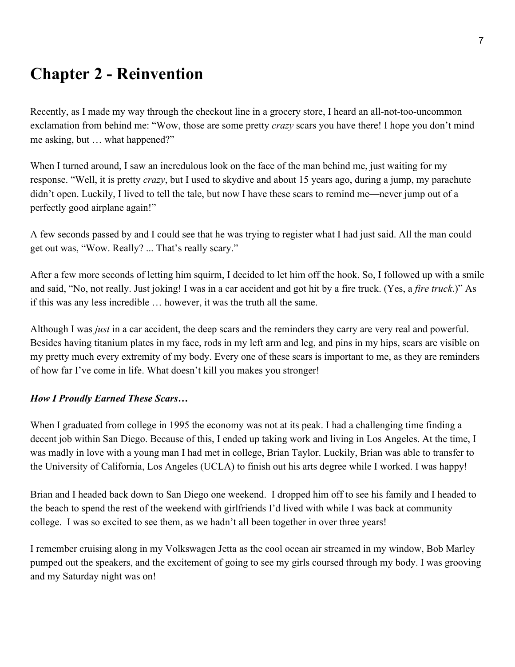# **Chapter 2 - Reinvention**

Recently, as I made my way through the checkout line in a grocery store, I heard an all-not-too-uncommon exclamation from behind me: "Wow, those are some pretty *crazy* scars you have there! I hope you don't mind me asking, but … what happened?"

When I turned around, I saw an incredulous look on the face of the man behind me, just waiting for my response. "Well, it is pretty *crazy*, but I used to skydive and about 15 years ago, during a jump, my parachute didn't open. Luckily, I lived to tell the tale, but now I have these scars to remind me—never jump out of a perfectly good airplane again!"

A few seconds passed by and I could see that he was trying to register what I had just said. All the man could get out was, "Wow. Really? ... That's really scary."

After a few more seconds of letting him squirm, I decided to let him off the hook. So, I followed up with a smile and said, "No, not really. Just joking! I was in a car accident and got hit by a fire truck. (Yes, a *fire truck*.)" As if this was any less incredible … however, it was the truth all the same.

Although I was *just* in a car accident, the deep scars and the reminders they carry are very real and powerful. Besides having titanium plates in my face, rods in my left arm and leg, and pins in my hips, scars are visible on my pretty much every extremity of my body. Every one of these scars is important to me, as they are reminders of how far I've come in life. What doesn't kill you makes you stronger!

#### *How I Proudly Earned These Scars…*

When I graduated from college in 1995 the economy was not at its peak. I had a challenging time finding a decent job within San Diego. Because of this, I ended up taking work and living in Los Angeles. At the time, I was madly in love with a young man I had met in college, Brian Taylor. Luckily, Brian was able to transfer to the University of California, Los Angeles (UCLA) to finish out his arts degree while I worked. I was happy!

Brian and I headed back down to San Diego one weekend. I dropped him off to see his family and I headed to the beach to spend the rest of the weekend with girlfriends I'd lived with while I was back at community college. I was so excited to see them, as we hadn't all been together in over three years!

I remember cruising along in my Volkswagen Jetta as the cool ocean air streamed in my window, Bob Marley pumped out the speakers, and the excitement of going to see my girls coursed through my body. I was grooving and my Saturday night was on!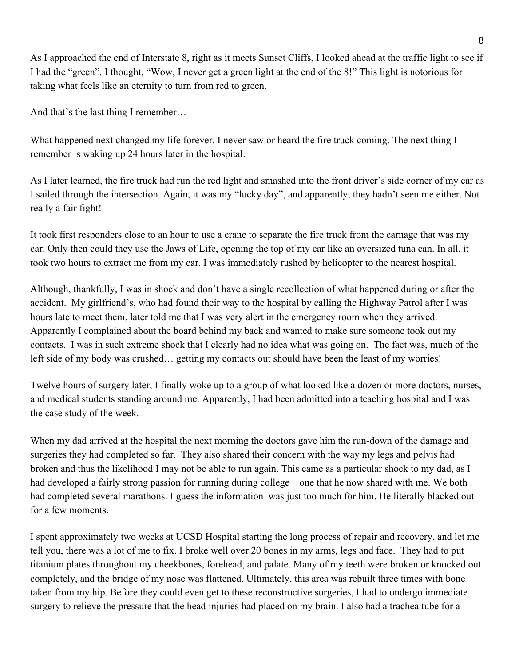As I approached the end of Interstate 8, right as it meets Sunset Cliffs, I looked ahead at the traffic light to see if I had the "green". I thought, "Wow, I never get a green light at the end of the 8!" This light is notorious for taking what feels like an eternity to turn from red to green.

And that's the last thing I remember…

What happened next changed my life forever. I never saw or heard the fire truck coming. The next thing I remember is waking up 24 hours later in the hospital.

As I later learned, the fire truck had run the red light and smashed into the front driver's side corner of my car as I sailed through the intersection. Again, it was my "lucky day", and apparently, they hadn't seen me either. Not really a fair fight!

It took first responders close to an hour to use a crane to separate the fire truck from the carnage that was my car. Only then could they use the Jaws of Life, opening the top of my car like an oversized tuna can. In all, it took two hours to extract me from my car. I was immediately rushed by helicopter to the nearest hospital.

Although, thankfully, I was in shock and don't have a single recollection of what happened during or after the accident. My girlfriend's, who had found their way to the hospital by calling the Highway Patrol after I was hours late to meet them, later told me that I was very alert in the emergency room when they arrived. Apparently I complained about the board behind my back and wanted to make sure someone took out my contacts. I was in such extreme shock that I clearly had no idea what was going on. The fact was, much of the left side of my body was crushed… getting my contacts out should have been the least of my worries!

Twelve hours of surgery later, I finally woke up to a group of what looked like a dozen or more doctors, nurses, and medical students standing around me. Apparently, I had been admitted into a teaching hospital and I was the case study of the week.

When my dad arrived at the hospital the next morning the doctors gave him the run-down of the damage and surgeries they had completed so far. They also shared their concern with the way my legs and pelvis had broken and thus the likelihood I may not be able to run again. This came as a particular shock to my dad, as I had developed a fairly strong passion for running during college—one that he now shared with me. We both had completed several marathons. I guess the information was just too much for him. He literally blacked out for a few moments.

I spent approximately two weeks at UCSD Hospital starting the long process of repair and recovery, and let me tell you, there was a lot of me to fix. I broke well over 20 bones in my arms, legs and face. They had to put titanium plates throughout my cheekbones, forehead, and palate. Many of my teeth were broken or knocked out completely, and the bridge of my nose was flattened. Ultimately, this area was rebuilt three times with bone taken from my hip. Before they could even get to these reconstructive surgeries, I had to undergo immediate surgery to relieve the pressure that the head injuries had placed on my brain. I also had a trachea tube for a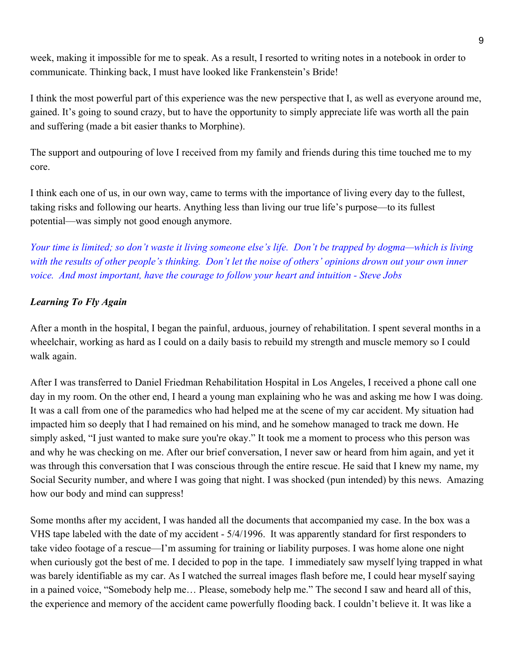week, making it impossible for me to speak. As a result, I resorted to writing notes in a notebook in order to communicate. Thinking back, I must have looked like Frankenstein's Bride!

I think the most powerful part of this experience was the new perspective that I, as well as everyone around me, gained. It's going to sound crazy, but to have the opportunity to simply appreciate life was worth all the pain and suffering (made a bit easier thanks to Morphine).

The support and outpouring of love I received from my family and friends during this time touched me to my core.

I think each one of us, in our own way, came to terms with the importance of living every day to the fullest, taking risks and following our hearts. Anything less than living our true life's purpose—to its fullest potential—was simply not good enough anymore.

*Your time is limited; so don't waste it living someone else's life. Don't be trapped by dogma—which is living with the results of other people's thinking. Don't let the noise of others' opinions drown out your own inner voice. And most important, have the courage to follow your heart and intuition - Steve Jobs*

# *Learning To Fly Again*

After a month in the hospital, I began the painful, arduous, journey of rehabilitation. I spent several months in a wheelchair, working as hard as I could on a daily basis to rebuild my strength and muscle memory so I could walk again.

After I was transferred to Daniel Friedman Rehabilitation Hospital in Los Angeles, I received a phone call one day in my room. On the other end, I heard a young man explaining who he was and asking me how I was doing. It was a call from one of the paramedics who had helped me at the scene of my car accident. My situation had impacted him so deeply that I had remained on his mind, and he somehow managed to track me down. He simply asked, "I just wanted to make sure you're okay." It took me a moment to process who this person was and why he was checking on me. After our brief conversation, I never saw or heard from him again, and yet it was through this conversation that I was conscious through the entire rescue. He said that I knew my name, my Social Security number, and where I was going that night. I was shocked (pun intended) by this news. Amazing how our body and mind can suppress!

Some months after my accident, I was handed all the documents that accompanied my case. In the box was a VHS tape labeled with the date of my accident - 5/4/1996. It was apparently standard for first responders to take video footage of a rescue—I'm assuming for training or liability purposes. I was home alone one night when curiously got the best of me. I decided to pop in the tape. I immediately saw myself lying trapped in what was barely identifiable as my car. As I watched the surreal images flash before me, I could hear myself saying in a pained voice, "Somebody help me… Please, somebody help me." The second I saw and heard all of this, the experience and memory of the accident came powerfully flooding back. I couldn't believe it. It was like a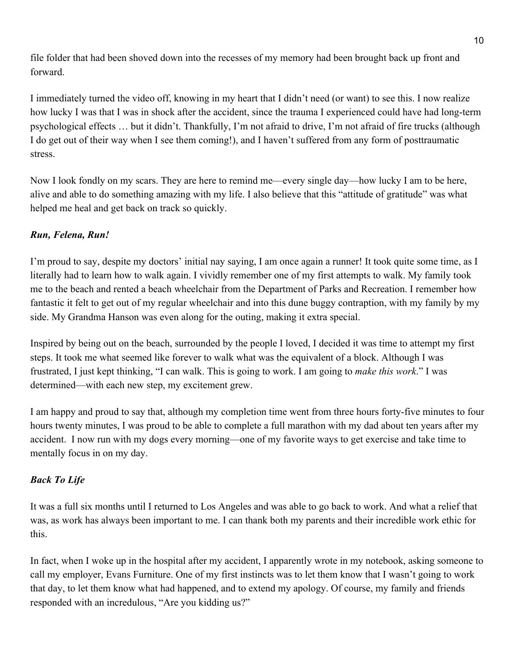file folder that had been shoved down into the recesses of my memory had been brought back up front and forward.

I immediately turned the video off, knowing in my heart that I didn't need (or want) to see this. I now realize how lucky I was that I was in shock after the accident, since the trauma I experienced could have had long-term psychological effects … but it didn't. Thankfully, I'm not afraid to drive, I'm not afraid of fire trucks (although I do get out of their way when I see them coming!), and I haven't suffered from any form of posttraumatic stress.

Now I look fondly on my scars. They are here to remind me—every single day—how lucky I am to be here, alive and able to do something amazing with my life. I also believe that this "attitude of gratitude" was what helped me heal and get back on track so quickly.

# *Run, Felena, Run!*

I'm proud to say, despite my doctors' initial nay saying, I am once again a runner! It took quite some time, as I literally had to learn how to walk again. I vividly remember one of my first attempts to walk. My family took me to the beach and rented a beach wheelchair from the Department of Parks and Recreation. I remember how fantastic it felt to get out of my regular wheelchair and into this dune buggy contraption, with my family by my side. My Grandma Hanson was even along for the outing, making it extra special.

Inspired by being out on the beach, surrounded by the people I loved, I decided it was time to attempt my first steps. It took me what seemed like forever to walk what was the equivalent of a block. Although I was frustrated, I just kept thinking, "I can walk. This is going to work. I am going to *make this work*." I was determined—with each new step, my excitement grew.

I am happy and proud to say that, although my completion time went from three hours forty-five minutes to four hours twenty minutes, I was proud to be able to complete a full marathon with my dad about ten years after my accident. I now run with my dogs every morning—one of my favorite ways to get exercise and take time to mentally focus in on my day.

#### *Back To Life*

It was a full six months until I returned to Los Angeles and was able to go back to work. And what a relief that was, as work has always been important to me. I can thank both my parents and their incredible work ethic for this.

In fact, when I woke up in the hospital after my accident, I apparently wrote in my notebook, asking someone to call my employer, Evans Furniture. One of my first instincts was to let them know that I wasn't going to work that day, to let them know what had happened, and to extend my apology. Of course, my family and friends responded with an incredulous, "Are you kidding us?"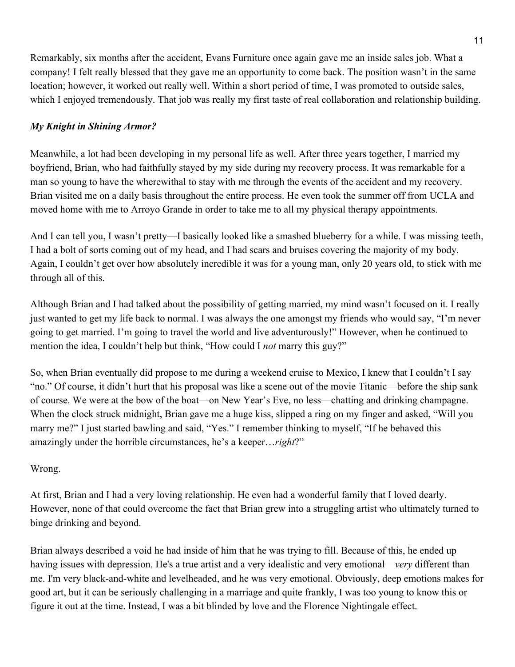Remarkably, six months after the accident, Evans Furniture once again gave me an inside sales job. What a company! I felt really blessed that they gave me an opportunity to come back. The position wasn't in the same location; however, it worked out really well. Within a short period of time, I was promoted to outside sales, which I enjoyed tremendously. That job was really my first taste of real collaboration and relationship building.

# *My Knight in Shining Armor?*

Meanwhile, a lot had been developing in my personal life as well. After three years together, I married my boyfriend, Brian, who had faithfully stayed by my side during my recovery process. It was remarkable for a man so young to have the wherewithal to stay with me through the events of the accident and my recovery. Brian visited me on a daily basis throughout the entire process. He even took the summer off from UCLA and moved home with me to Arroyo Grande in order to take me to all my physical therapy appointments.

And I can tell you, I wasn't pretty—I basically looked like a smashed blueberry for a while. I was missing teeth, I had a bolt of sorts coming out of my head, and I had scars and bruises covering the majority of my body. Again, I couldn't get over how absolutely incredible it was for a young man, only 20 years old, to stick with me through all of this.

Although Brian and I had talked about the possibility of getting married, my mind wasn't focused on it. I really just wanted to get my life back to normal. I was always the one amongst my friends who would say, "I'm never going to get married. I'm going to travel the world and live adventurously!" However, when he continued to mention the idea, I couldn't help but think, "How could I *not* marry this guy?"

So, when Brian eventually did propose to me during a weekend cruise to Mexico, I knew that I couldn't I say "no." Of course, it didn't hurt that his proposal was like a scene out of the movie Titanic—before the ship sank of course. We were at the bow of the boat—on New Year's Eve, no less—chatting and drinking champagne. When the clock struck midnight, Brian gave me a huge kiss, slipped a ring on my finger and asked, "Will you marry me?" I just started bawling and said, "Yes." I remember thinking to myself, "If he behaved this amazingly under the horrible circumstances, he's a keeper…*right*?"

#### Wrong.

At first, Brian and I had a very loving relationship. He even had a wonderful family that I loved dearly. However, none of that could overcome the fact that Brian grew into a struggling artist who ultimately turned to binge drinking and beyond.

Brian always described a void he had inside of him that he was trying to fill. Because of this, he ended up having issues with depression. He's a true artist and a very idealistic and very emotional—*very* different than me. I'm very black-and-white and levelheaded, and he was very emotional. Obviously, deep emotions makes for good art, but it can be seriously challenging in a marriage and quite frankly, I was too young to know this or figure it out at the time. Instead, I was a bit blinded by love and the Florence Nightingale effect.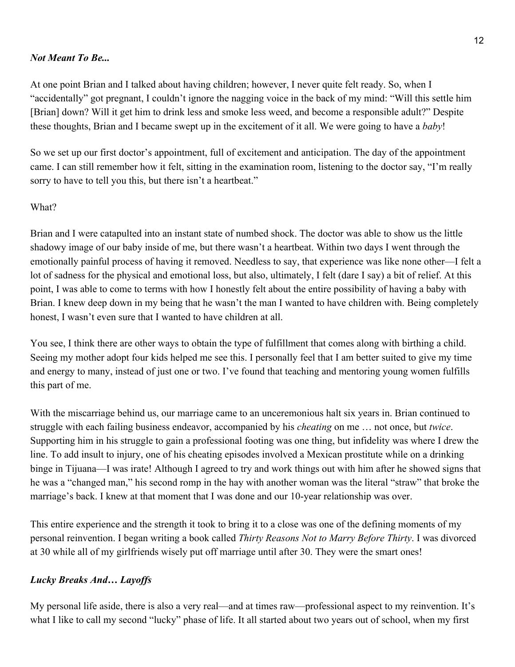#### *Not Meant To Be...*

At one point Brian and I talked about having children; however, I never quite felt ready. So, when I "accidentally" got pregnant, I couldn't ignore the nagging voice in the back of my mind: "Will this settle him [Brian] down? Will it get him to drink less and smoke less weed, and become a responsible adult?" Despite these thoughts, Brian and I became swept up in the excitement of it all. We were going to have a *baby*!

So we set up our first doctor's appointment, full of excitement and anticipation. The day of the appointment came. I can still remember how it felt, sitting in the examination room, listening to the doctor say, "I'm really sorry to have to tell you this, but there isn't a heartbeat."

#### What?

Brian and I were catapulted into an instant state of numbed shock. The doctor was able to show us the little shadowy image of our baby inside of me, but there wasn't a heartbeat. Within two days I went through the emotionally painful process of having it removed. Needless to say, that experience was like none other—I felt a lot of sadness for the physical and emotional loss, but also, ultimately, I felt (dare I say) a bit of relief. At this point, I was able to come to terms with how I honestly felt about the entire possibility of having a baby with Brian. I knew deep down in my being that he wasn't the man I wanted to have children with. Being completely honest, I wasn't even sure that I wanted to have children at all.

You see, I think there are other ways to obtain the type of fulfillment that comes along with birthing a child. Seeing my mother adopt four kids helped me see this. I personally feel that I am better suited to give my time and energy to many, instead of just one or two. I've found that teaching and mentoring young women fulfills this part of me.

With the miscarriage behind us, our marriage came to an unceremonious halt six years in. Brian continued to struggle with each failing business endeavor, accompanied by his *cheating* on me … not once, but *twice*. Supporting him in his struggle to gain a professional footing was one thing, but infidelity was where I drew the line. To add insult to injury, one of his cheating episodes involved a Mexican prostitute while on a drinking binge in Tijuana—I was irate! Although I agreed to try and work things out with him after he showed signs that he was a "changed man," his second romp in the hay with another woman was the literal "straw" that broke the marriage's back. I knew at that moment that I was done and our 10-year relationship was over.

This entire experience and the strength it took to bring it to a close was one of the defining moments of my personal reinvention. I began writing a book called *Thirty Reasons Not to Marry Before Thirty*. I was divorced at 30 while all of my girlfriends wisely put off marriage until after 30. They were the smart ones!

#### *Lucky Breaks And… Layoffs*

My personal life aside, there is also a very real—and at times raw—professional aspect to my reinvention. It's what I like to call my second "lucky" phase of life. It all started about two years out of school, when my first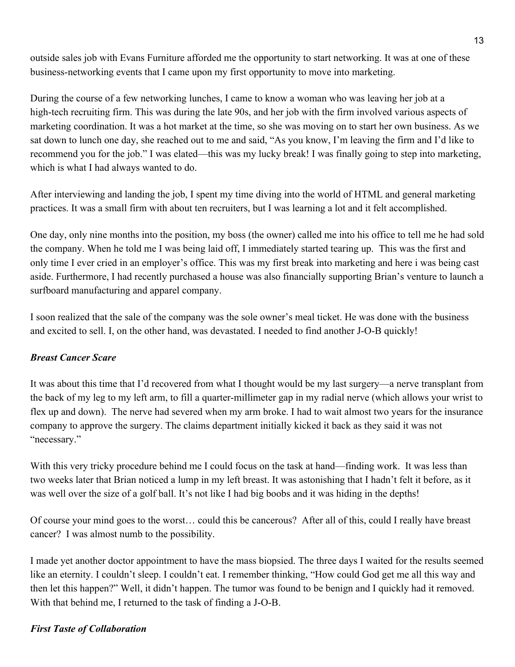outside sales job with Evans Furniture afforded me the opportunity to start networking. It was at one of these business-networking events that I came upon my first opportunity to move into marketing.

During the course of a few networking lunches, I came to know a woman who was leaving her job at a high-tech recruiting firm. This was during the late 90s, and her job with the firm involved various aspects of marketing coordination. It was a hot market at the time, so she was moving on to start her own business. As we sat down to lunch one day, she reached out to me and said, "As you know, I'm leaving the firm and I'd like to recommend you for the job." I was elated—this was my lucky break! I was finally going to step into marketing, which is what I had always wanted to do.

After interviewing and landing the job, I spent my time diving into the world of HTML and general marketing practices. It was a small firm with about ten recruiters, but I was learning a lot and it felt accomplished.

One day, only nine months into the position, my boss (the owner) called me into his office to tell me he had sold the company. When he told me I was being laid off, I immediately started tearing up. This was the first and only time I ever cried in an employer's office. This was my first break into marketing and here i was being cast aside. Furthermore, I had recently purchased a house was also financially supporting Brian's venture to launch a surfboard manufacturing and apparel company.

I soon realized that the sale of the company was the sole owner's meal ticket. He was done with the business and excited to sell. I, on the other hand, was devastated. I needed to find another J-O-B quickly!

#### *Breast Cancer Scare*

It was about this time that I'd recovered from what I thought would be my last surgery—a nerve transplant from the back of my leg to my left arm, to fill a quarter-millimeter gap in my radial nerve (which allows your wrist to flex up and down). The nerve had severed when my arm broke. I had to wait almost two years for the insurance company to approve the surgery. The claims department initially kicked it back as they said it was not "necessary."

With this very tricky procedure behind me I could focus on the task at hand—finding work. It was less than two weeks later that Brian noticed a lump in my left breast. It was astonishing that I hadn't felt it before, as it was well over the size of a golf ball. It's not like I had big boobs and it was hiding in the depths!

Of course your mind goes to the worst… could this be cancerous? After all of this, could I really have breast cancer? I was almost numb to the possibility.

I made yet another doctor appointment to have the mass biopsied. The three days I waited for the results seemed like an eternity. I couldn't sleep. I couldn't eat. I remember thinking, "How could God get me all this way and then let this happen?" Well, it didn't happen. The tumor was found to be benign and I quickly had it removed. With that behind me, I returned to the task of finding a J-O-B.

#### *First Taste of Collaboration*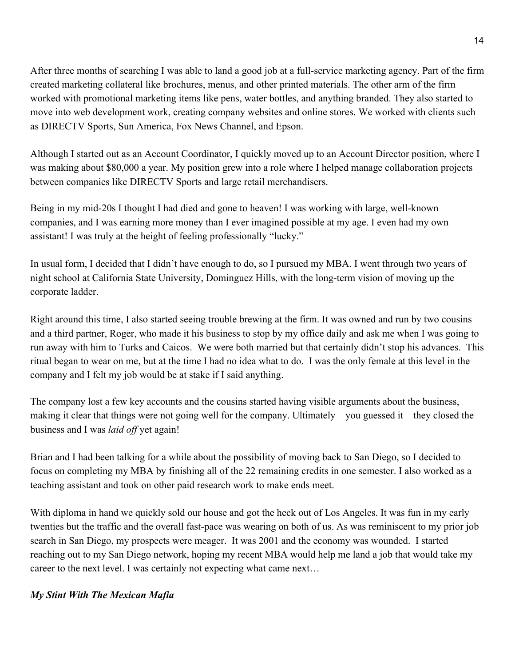After three months of searching I was able to land a good job at a full-service marketing agency. Part of the firm created marketing collateral like brochures, menus, and other printed materials. The other arm of the firm worked with promotional marketing items like pens, water bottles, and anything branded. They also started to move into web development work, creating company websites and online stores. We worked with clients such as DIRECTV Sports, Sun America, Fox News Channel, and Epson.

Although I started out as an Account Coordinator, I quickly moved up to an Account Director position, where I was making about \$80,000 a year. My position grew into a role where I helped manage collaboration projects between companies like DIRECTV Sports and large retail merchandisers.

Being in my mid-20s I thought I had died and gone to heaven! I was working with large, well-known companies, and I was earning more money than I ever imagined possible at my age. I even had my own assistant! I was truly at the height of feeling professionally "lucky."

In usual form, I decided that I didn't have enough to do, so I pursued my MBA. I went through two years of night school at California State University, Dominguez Hills, with the long-term vision of moving up the corporate ladder.

Right around this time, I also started seeing trouble brewing at the firm. It was owned and run by two cousins and a third partner, Roger, who made it his business to stop by my office daily and ask me when I was going to run away with him to Turks and Caicos. We were both married but that certainly didn't stop his advances. This ritual began to wear on me, but at the time I had no idea what to do. I was the only female at this level in the company and I felt my job would be at stake if I said anything.

The company lost a few key accounts and the cousins started having visible arguments about the business, making it clear that things were not going well for the company. Ultimately—you guessed it—they closed the business and I was *laid off* yet again!

Brian and I had been talking for a while about the possibility of moving back to San Diego, so I decided to focus on completing my MBA by finishing all of the 22 remaining credits in one semester. I also worked as a teaching assistant and took on other paid research work to make ends meet.

With diploma in hand we quickly sold our house and got the heck out of Los Angeles. It was fun in my early twenties but the traffic and the overall fast-pace was wearing on both of us. As was reminiscent to my prior job search in San Diego, my prospects were meager. It was 2001 and the economy was wounded. I started reaching out to my San Diego network, hoping my recent MBA would help me land a job that would take my career to the next level. I was certainly not expecting what came next…

#### *My Stint With The Mexican Mafia*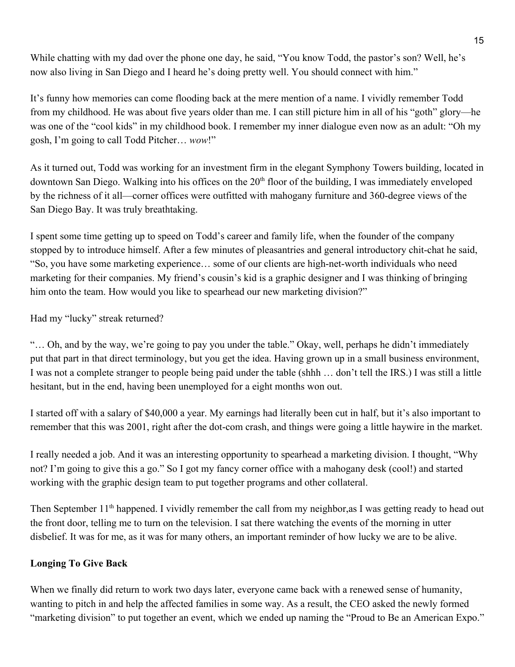While chatting with my dad over the phone one day, he said, "You know Todd, the pastor's son? Well, he's now also living in San Diego and I heard he's doing pretty well. You should connect with him."

It's funny how memories can come flooding back at the mere mention of a name. I vividly remember Todd from my childhood. He was about five years older than me. I can still picture him in all of his "goth" glory—he was one of the "cool kids" in my childhood book. I remember my inner dialogue even now as an adult: "Oh my gosh, I'm going to call Todd Pitcher… *wow*!"

As it turned out, Todd was working for an investment firm in the elegant Symphony Towers building, located in downtown San Diego. Walking into his offices on the 20<sup>th</sup> floor of the building, I was immediately enveloped by the richness of it all—corner offices were outfitted with mahogany furniture and 360-degree views of the San Diego Bay. It was truly breathtaking.

I spent some time getting up to speed on Todd's career and family life, when the founder of the company stopped by to introduce himself. After a few minutes of pleasantries and general introductory chit-chat he said, "So, you have some marketing experience… some of our clients are high-net-worth individuals who need marketing for their companies. My friend's cousin's kid is a graphic designer and I was thinking of bringing him onto the team. How would you like to spearhead our new marketing division?"

Had my "lucky" streak returned?

"… Oh, and by the way, we're going to pay you under the table." Okay, well, perhaps he didn't immediately put that part in that direct terminology, but you get the idea. Having grown up in a small business environment, I was not a complete stranger to people being paid under the table (shhh … don't tell the IRS.) I was still a little hesitant, but in the end, having been unemployed for a eight months won out.

I started off with a salary of \$40,000 a year. My earnings had literally been cut in half, but it's also important to remember that this was 2001, right after the dot-com crash, and things were going a little haywire in the market.

I really needed a job. And it was an interesting opportunity to spearhead a marketing division. I thought, "Why not? I'm going to give this a go." So I got my fancy corner office with a mahogany desk (cool!) and started working with the graphic design team to put together programs and other collateral.

Then September 11<sup>th</sup> happened. I vividly remember the call from my neighbor, as I was getting ready to head out the front door, telling me to turn on the television. I sat there watching the events of the morning in utter disbelief. It was for me, as it was for many others, an important reminder of how lucky we are to be alive.

#### **Longing To Give Back**

When we finally did return to work two days later, everyone came back with a renewed sense of humanity, wanting to pitch in and help the affected families in some way. As a result, the CEO asked the newly formed "marketing division" to put together an event, which we ended up naming the "Proud to Be an American Expo."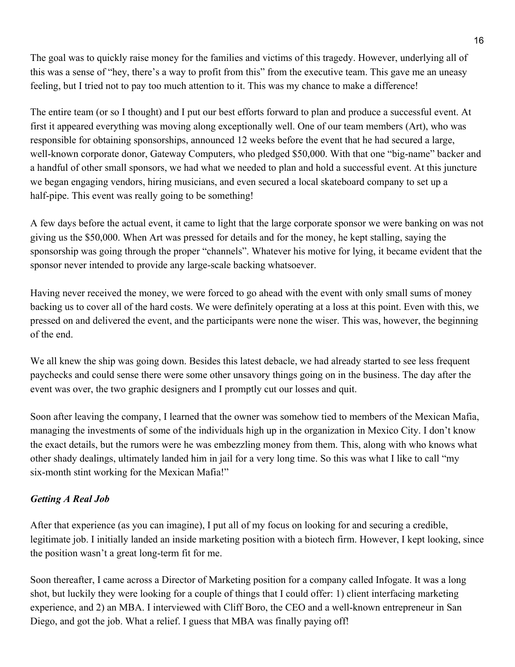The goal was to quickly raise money for the families and victims of this tragedy. However, underlying all of this was a sense of "hey, there's a way to profit from this" from the executive team. This gave me an uneasy feeling, but I tried not to pay too much attention to it. This was my chance to make a difference!

The entire team (or so I thought) and I put our best efforts forward to plan and produce a successful event. At first it appeared everything was moving along exceptionally well. One of our team members (Art), who was responsible for obtaining sponsorships, announced 12 weeks before the event that he had secured a large, well-known corporate donor, Gateway Computers, who pledged \$50,000. With that one "big-name" backer and a handful of other small sponsors, we had what we needed to plan and hold a successful event. At this juncture we began engaging vendors, hiring musicians, and even secured a local skateboard company to set up a half-pipe. This event was really going to be something!

A few days before the actual event, it came to light that the large corporate sponsor we were banking on was not giving us the \$50,000. When Art was pressed for details and for the money, he kept stalling, saying the sponsorship was going through the proper "channels". Whatever his motive for lying, it became evident that the sponsor never intended to provide any large-scale backing whatsoever.

Having never received the money, we were forced to go ahead with the event with only small sums of money backing us to cover all of the hard costs. We were definitely operating at a loss at this point. Even with this, we pressed on and delivered the event, and the participants were none the wiser. This was, however, the beginning of the end.

We all knew the ship was going down. Besides this latest debacle, we had already started to see less frequent paychecks and could sense there were some other unsavory things going on in the business. The day after the event was over, the two graphic designers and I promptly cut our losses and quit.

Soon after leaving the company, I learned that the owner was somehow tied to members of the Mexican Mafia, managing the investments of some of the individuals high up in the organization in Mexico City. I don't know the exact details, but the rumors were he was embezzling money from them. This, along with who knows what other shady dealings, ultimately landed him in jail for a very long time. So this was what I like to call "my six-month stint working for the Mexican Mafia!"

# *Getting A Real Job*

After that experience (as you can imagine), I put all of my focus on looking for and securing a credible, legitimate job. I initially landed an inside marketing position with a biotech firm. However, I kept looking, since the position wasn't a great long-term fit for me.

Soon thereafter, I came across a Director of Marketing position for a company called Infogate. It was a long shot, but luckily they were looking for a couple of things that I could offer: 1) client interfacing marketing experience, and 2) an MBA. I interviewed with Cliff Boro, the CEO and a well-known entrepreneur in San Diego, and got the job. What a relief. I guess that MBA was finally paying off!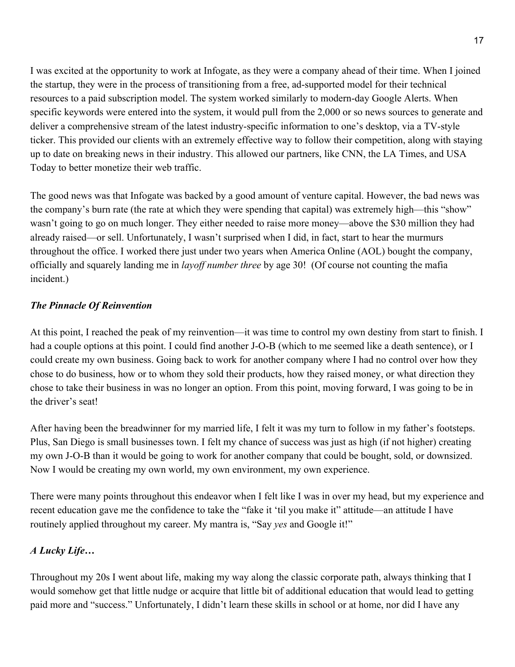I was excited at the opportunity to work at Infogate, as they were a company ahead of their time. When I joined the startup, they were in the process of transitioning from a free, ad-supported model for their technical resources to a paid subscription model. The system worked similarly to modern-day Google Alerts. When specific keywords were entered into the system, it would pull from the 2,000 or so news sources to generate and deliver a comprehensive stream of the latest industry-specific information to one's desktop, via a TV-style ticker. This provided our clients with an extremely effective way to follow their competition, along with staying up to date on breaking news in their industry. This allowed our partners, like CNN, the LA Times, and USA Today to better monetize their web traffic.

The good news was that Infogate was backed by a good amount of venture capital. However, the bad news was the company's burn rate (the rate at which they were spending that capital) was extremely high—this "show" wasn't going to go on much longer. They either needed to raise more money—above the \$30 million they had already raised—or sell. Unfortunately, I wasn't surprised when I did, in fact, start to hear the murmurs throughout the office. I worked there just under two years when America Online (AOL) bought the company, officially and squarely landing me in *layoff number three* by age 30! (Of course not counting the mafia incident.)

#### *The Pinnacle Of Reinvention*

At this point, I reached the peak of my reinvention—it was time to control my own destiny from start to finish. I had a couple options at this point. I could find another J-O-B (which to me seemed like a death sentence), or I could create my own business. Going back to work for another company where I had no control over how they chose to do business, how or to whom they sold their products, how they raised money, or what direction they chose to take their business in was no longer an option. From this point, moving forward, I was going to be in the driver's seat!

After having been the breadwinner for my married life, I felt it was my turn to follow in my father's footsteps. Plus, San Diego is small businesses town. I felt my chance of success was just as high (if not higher) creating my own J-O-B than it would be going to work for another company that could be bought, sold, or downsized. Now I would be creating my own world, my own environment, my own experience.

There were many points throughout this endeavor when I felt like I was in over my head, but my experience and recent education gave me the confidence to take the "fake it 'til you make it" attitude—an attitude I have routinely applied throughout my career. My mantra is, "Say *yes* and Google it!"

#### *A Lucky Life…*

Throughout my 20s I went about life, making my way along the classic corporate path, always thinking that I would somehow get that little nudge or acquire that little bit of additional education that would lead to getting paid more and "success." Unfortunately, I didn't learn these skills in school or at home, nor did I have any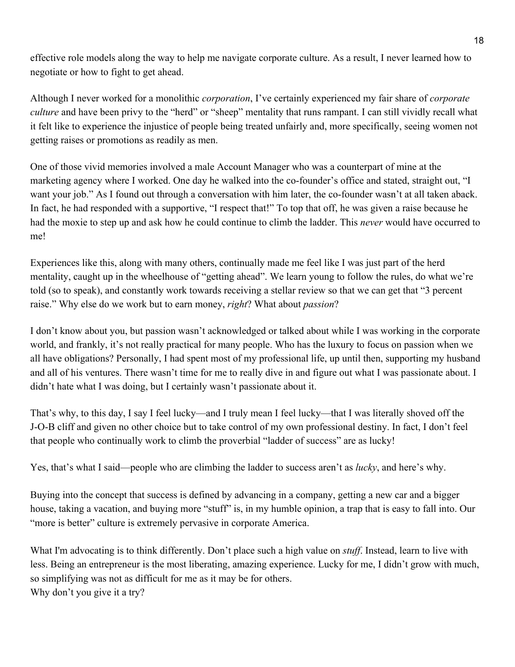effective role models along the way to help me navigate corporate culture. As a result, I never learned how to negotiate or how to fight to get ahead.

Although I never worked for a monolithic *corporation*, I've certainly experienced my fair share of *corporate culture* and have been privy to the "herd" or "sheep" mentality that runs rampant. I can still vividly recall what it felt like to experience the injustice of people being treated unfairly and, more specifically, seeing women not getting raises or promotions as readily as men.

One of those vivid memories involved a male Account Manager who was a counterpart of mine at the marketing agency where I worked. One day he walked into the co-founder's office and stated, straight out, "I want your job." As I found out through a conversation with him later, the co-founder wasn't at all taken aback. In fact, he had responded with a supportive, "I respect that!" To top that off, he was given a raise because he had the moxie to step up and ask how he could continue to climb the ladder. This *never* would have occurred to me!

Experiences like this, along with many others, continually made me feel like I was just part of the herd mentality, caught up in the wheelhouse of "getting ahead". We learn young to follow the rules, do what we're told (so to speak), and constantly work towards receiving a stellar review so that we can get that "3 percent raise." Why else do we work but to earn money, *right*? What about *passion*?

I don't know about you, but passion wasn't acknowledged or talked about while I was working in the corporate world, and frankly, it's not really practical for many people. Who has the luxury to focus on passion when we all have obligations? Personally, I had spent most of my professional life, up until then, supporting my husband and all of his ventures. There wasn't time for me to really dive in and figure out what I was passionate about. I didn't hate what I was doing, but I certainly wasn't passionate about it.

That's why, to this day, I say I feel lucky—and I truly mean I feel lucky—that I was literally shoved off the J-O-B cliff and given no other choice but to take control of my own professional destiny. In fact, I don't feel that people who continually work to climb the proverbial "ladder of success" are as lucky!

Yes, that's what I said—people who are climbing the ladder to success aren't as *lucky*, and here's why.

Buying into the concept that success is defined by advancing in a company, getting a new car and a bigger house, taking a vacation, and buying more "stuff" is, in my humble opinion, a trap that is easy to fall into. Our "more is better" culture is extremely pervasive in corporate America.

What I'm advocating is to think differently. Don't place such a high value on *stuff*. Instead, learn to live with less. Being an entrepreneur is the most liberating, amazing experience. Lucky for me, I didn't grow with much, so simplifying was not as difficult for me as it may be for others. Why don't you give it a try?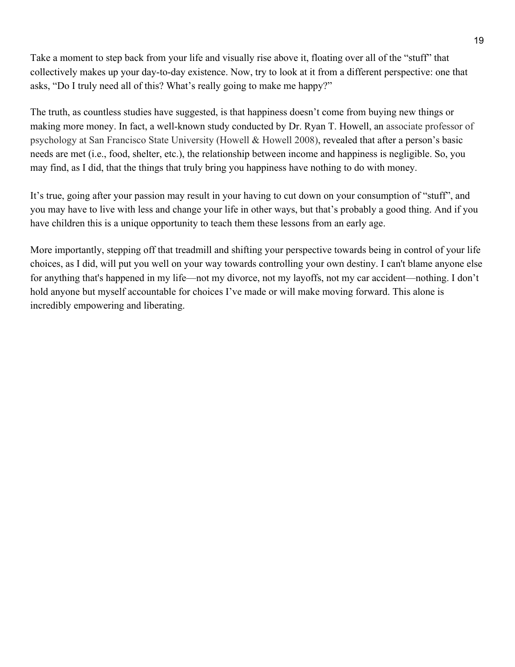Take a moment to step back from your life and visually rise above it, floating over all of the "stuff" that collectively makes up your day-to-day existence. Now, try to look at it from a different perspective: one that asks, "Do I truly need all of this? What's really going to make me happy?"

The truth, as countless studies have suggested, is that happiness doesn't come from buying new things or making more money. In fact, a well-known study conducted by Dr. Ryan T. Howell, an associate professor of psychology at San Francisco State University (Howell & Howell 2008), revealed that after a person's basic needs are met (i.e., food, shelter, etc.), the relationship between income and happiness is negligible. So, you may find, as I did, that the things that truly bring you happiness have nothing to do with money.

It's true, going after your passion may result in your having to cut down on your consumption of "stuff", and you may have to live with less and change your life in other ways, but that's probably a good thing. And if you have children this is a unique opportunity to teach them these lessons from an early age.

More importantly, stepping off that treadmill and shifting your perspective towards being in control of your life choices, as I did, will put you well on your way towards controlling your own destiny. I can't blame anyone else for anything that's happened in my life—not my divorce, not my layoffs, not my car accident—nothing. I don't hold anyone but myself accountable for choices I've made or will make moving forward. This alone is incredibly empowering and liberating.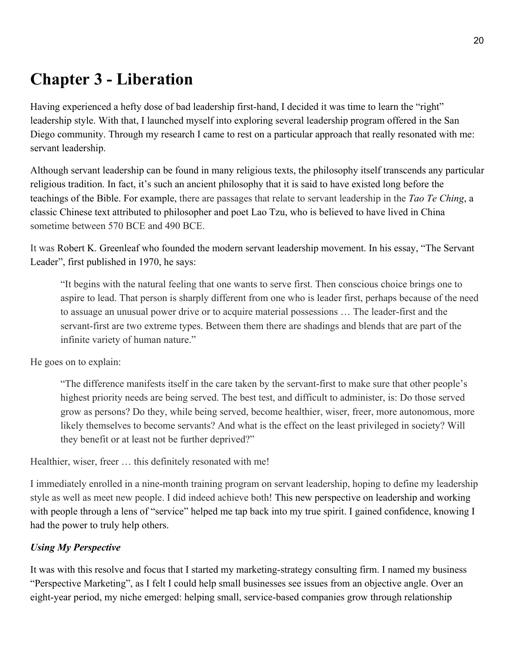# **Chapter 3 - Liberation**

Having experienced a hefty dose of bad leadership first-hand, I decided it was time to learn the "right" leadership style. With that, I launched myself into exploring several leadership program offered in the San Diego community. Through my research I came to rest on a particular approach that really resonated with me: servant leadership.

Although servant leadership can be found in many religious texts, the philosophy itself transcends any particular religious tradition. In fact, it's such an ancient philosophy that it is said to have existed long before the teachings of the Bible. For example, there are passages that relate to servant leadership in the *Tao Te Ching*, a classic Chinese text attributed to philosopher and poet Lao Tzu, who is believed to have lived in China sometime between 570 BCE and 490 BCE.

It was Robert K. Greenleaf who founded the modern servant leadership movement. In his essay, "The Servant Leader", first published in 1970, he says:

"It begins with the natural feeling that one wants to serve first. Then conscious choice brings one to aspire to lead. That person is sharply different from one who is leader first, perhaps because of the need to assuage an unusual power drive or to acquire material possessions … The leader-first and the servant-first are two extreme types. Between them there are shadings and blends that are part of the infinite variety of human nature."

He goes on to explain:

"The difference manifests itself in the care taken by the servant-first to make sure that other people's highest priority needs are being served. The best test, and difficult to administer, is: Do those served grow as persons? Do they, while being served, become healthier, wiser, freer, more autonomous, more likely themselves to become servants? And what is the effect on the least privileged in society? Will they benefit or at least not be further deprived?"

Healthier, wiser, freer … this definitely resonated with me!

I immediately enrolled in a nine-month training program on servant leadership, hoping to define my leadership style as well as meet new people. I did indeed achieve both! This new perspective on leadership and working with people through a lens of "service" helped me tap back into my true spirit. I gained confidence, knowing I had the power to truly help others.

# *Using My Perspective*

It was with this resolve and focus that I started my marketing-strategy consulting firm. I named my business "Perspective Marketing", as I felt I could help small businesses see issues from an objective angle. Over an eight-year period, my niche emerged: helping small, service-based companies grow through relationship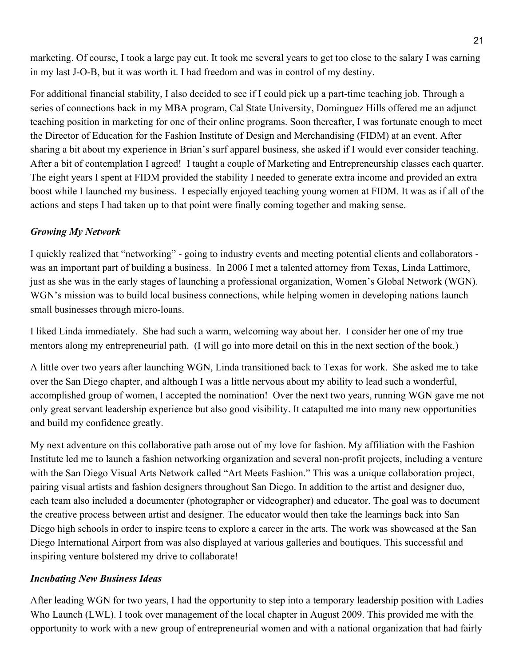marketing. Of course, I took a large pay cut. It took me several years to get too close to the salary I was earning in my last J-O-B, but it was worth it. I had freedom and was in control of my destiny.

For additional financial stability, I also decided to see if I could pick up a part-time teaching job. Through a series of connections back in my MBA program, Cal State University, Dominguez Hills offered me an adjunct teaching position in marketing for one of their online programs. Soon thereafter, I was fortunate enough to meet the Director of Education for the Fashion Institute of Design and Merchandising (FIDM) at an event. After sharing a bit about my experience in Brian's surf apparel business, she asked if I would ever consider teaching. After a bit of contemplation I agreed! I taught a couple of Marketing and Entrepreneurship classes each quarter. The eight years I spent at FIDM provided the stability I needed to generate extra income and provided an extra boost while I launched my business. I especially enjoyed teaching young women at FIDM. It was as if all of the actions and steps I had taken up to that point were finally coming together and making sense.

# *Growing My Network*

I quickly realized that "networking" - going to industry events and meeting potential clients and collaborators was an important part of building a business. In 2006 I met a talented attorney from Texas, Linda Lattimore, just as she was in the early stages of launching a professional organization, Women's Global Network (WGN). WGN's mission was to build local business connections, while helping women in developing nations launch small businesses through micro-loans.

I liked Linda immediately. She had such a warm, welcoming way about her. I consider her one of my true mentors along my entrepreneurial path. (I will go into more detail on this in the next section of the book.)

A little over two years after launching WGN, Linda transitioned back to Texas for work. She asked me to take over the San Diego chapter, and although I was a little nervous about my ability to lead such a wonderful, accomplished group of women, I accepted the nomination! Over the next two years, running WGN gave me not only great servant leadership experience but also good visibility. It catapulted me into many new opportunities and build my confidence greatly.

My next adventure on this collaborative path arose out of my love for fashion. My affiliation with the Fashion Institute led me to launch a fashion networking organization and several non-profit projects, including a venture with the San Diego Visual Arts Network called "Art Meets Fashion." This was a unique collaboration project, pairing visual artists and fashion designers throughout San Diego. In addition to the artist and designer duo, each team also included a documenter (photographer or videographer) and educator. The goal was to document the creative process between artist and designer. The educator would then take the learnings back into San Diego high schools in order to inspire teens to explore a career in the arts. The work was showcased at the San Diego International Airport from was also displayed at various galleries and boutiques. This successful and inspiring venture bolstered my drive to collaborate!

#### *Incubating New Business Ideas*

After leading WGN for two years, I had the opportunity to step into a temporary leadership position with Ladies Who Launch (LWL). I took over management of the local chapter in August 2009. This provided me with the opportunity to work with a new group of entrepreneurial women and with a national organization that had fairly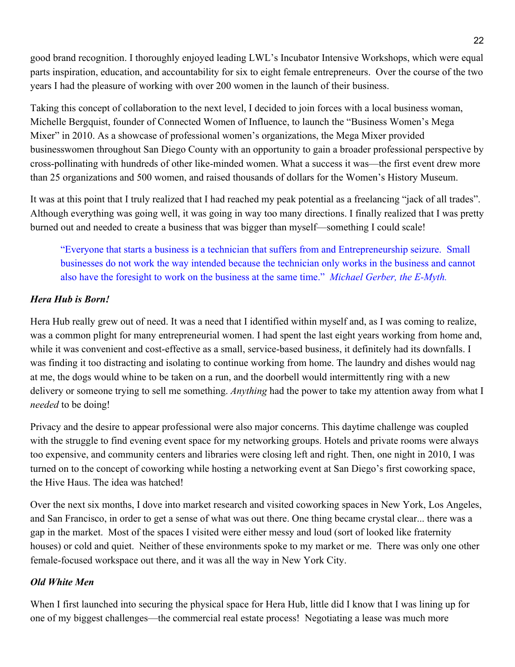good brand recognition. I thoroughly enjoyed leading LWL's Incubator Intensive Workshops, which were equal parts inspiration, education, and accountability for six to eight female entrepreneurs. Over the course of the two years I had the pleasure of working with over 200 women in the launch of their business.

Taking this concept of collaboration to the next level, I decided to join forces with a local business woman, Michelle Bergquist, founder of Connected Women of Influence, to launch the "Business Women's Mega Mixer" in 2010. As a showcase of professional women's organizations, the Mega Mixer provided businesswomen throughout San Diego County with an opportunity to gain a broader professional perspective by cross-pollinating with hundreds of other like-minded women. What a success it was—the first event drew more than 25 organizations and 500 women, and raised thousands of dollars for the Women's History Museum.

It was at this point that I truly realized that I had reached my peak potential as a freelancing "jack of all trades". Although everything was going well, it was going in way too many directions. I finally realized that I was pretty burned out and needed to create a business that was bigger than myself—something I could scale!

"Everyone that starts a business is a technician that suffers from and Entrepreneurship seizure. Small businesses do not work the way intended because the technician only works in the business and cannot also have the foresight to work on the business at the same time." *Michael Gerber, the E-Myth.*

#### *Hera Hub is Born!*

Hera Hub really grew out of need. It was a need that I identified within myself and, as I was coming to realize, was a common plight for many entrepreneurial women. I had spent the last eight years working from home and, while it was convenient and cost-effective as a small, service-based business, it definitely had its downfalls. I was finding it too distracting and isolating to continue working from home. The laundry and dishes would nag at me, the dogs would whine to be taken on a run, and the doorbell would intermittently ring with a new delivery or someone trying to sell me something. *Anything* had the power to take my attention away from what I *needed* to be doing!

Privacy and the desire to appear professional were also major concerns. This daytime challenge was coupled with the struggle to find evening event space for my networking groups. Hotels and private rooms were always too expensive, and community centers and libraries were closing left and right. Then, one night in 2010, I was turned on to the concept of coworking while hosting a networking event at San Diego's first coworking space, the Hive Haus. The idea was hatched!

Over the next six months, I dove into market research and visited coworking spaces in New York, Los Angeles, and San Francisco, in order to get a sense of what was out there. One thing became crystal clear... there was a gap in the market. Most of the spaces I visited were either messy and loud (sort of looked like fraternity houses) or cold and quiet. Neither of these environments spoke to my market or me. There was only one other female-focused workspace out there, and it was all the way in New York City.

#### *Old White Men*

When I first launched into securing the physical space for Hera Hub, little did I know that I was lining up for one of my biggest challenges—the commercial real estate process! Negotiating a lease was much more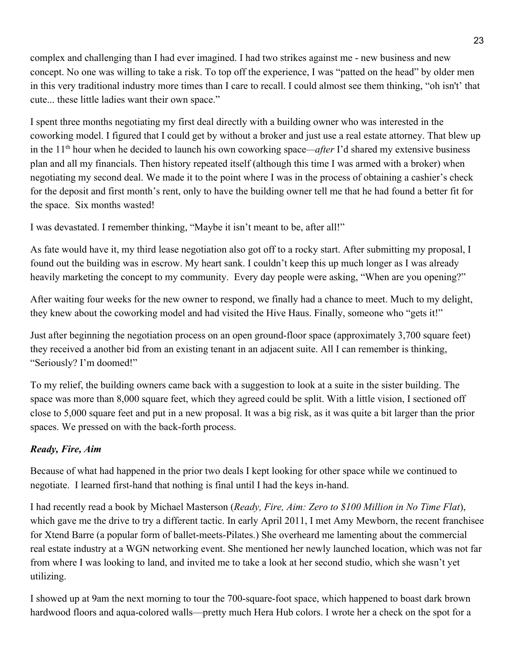complex and challenging than I had ever imagined. I had two strikes against me - new business and new concept. No one was willing to take a risk. To top off the experience, I was "patted on the head" by older men in this very traditional industry more times than I care to recall. I could almost see them thinking, "oh isn't' that cute... these little ladies want their own space."

I spent three months negotiating my first deal directly with a building owner who was interested in the coworking model. I figured that I could get by without a broker and just use a real estate attorney. That blew up in the 11<sup>th</sup> hour when he decided to launch his own coworking space—after I'd shared my extensive business plan and all my financials. Then history repeated itself (although this time I was armed with a broker) when negotiating my second deal. We made it to the point where I was in the process of obtaining a cashier's check for the deposit and first month's rent, only to have the building owner tell me that he had found a better fit for the space. Six months wasted!

I was devastated. I remember thinking, "Maybe it isn't meant to be, after all!"

As fate would have it, my third lease negotiation also got off to a rocky start. After submitting my proposal, I found out the building was in escrow. My heart sank. I couldn't keep this up much longer as I was already heavily marketing the concept to my community. Every day people were asking, "When are you opening?"

After waiting four weeks for the new owner to respond, we finally had a chance to meet. Much to my delight, they knew about the coworking model and had visited the Hive Haus. Finally, someone who "gets it!"

Just after beginning the negotiation process on an open ground-floor space (approximately 3,700 square feet) they received a another bid from an existing tenant in an adjacent suite. All I can remember is thinking, "Seriously? I'm doomed!"

To my relief, the building owners came back with a suggestion to look at a suite in the sister building. The space was more than 8,000 square feet, which they agreed could be split. With a little vision, I sectioned off close to 5,000 square feet and put in a new proposal. It was a big risk, as it was quite a bit larger than the prior spaces. We pressed on with the back-forth process.

# *Ready, Fire, Aim*

Because of what had happened in the prior two deals I kept looking for other space while we continued to negotiate. I learned first-hand that nothing is final until I had the keys in-hand.

I had recently read a book by Michael Masterson (*Ready, Fire, Aim: Zero to \$100 Million in No Time Flat*), which gave me the drive to try a different tactic. In early April 2011, I met Amy Mewborn, the recent franchisee for Xtend Barre (a popular form of ballet-meets-Pilates.) She overheard me lamenting about the commercial real estate industry at a WGN networking event. She mentioned her newly launched location, which was not far from where I was looking to land, and invited me to take a look at her second studio, which she wasn't yet utilizing.

I showed up at 9am the next morning to tour the 700-square-foot space, which happened to boast dark brown hardwood floors and aqua-colored walls—pretty much Hera Hub colors. I wrote her a check on the spot for a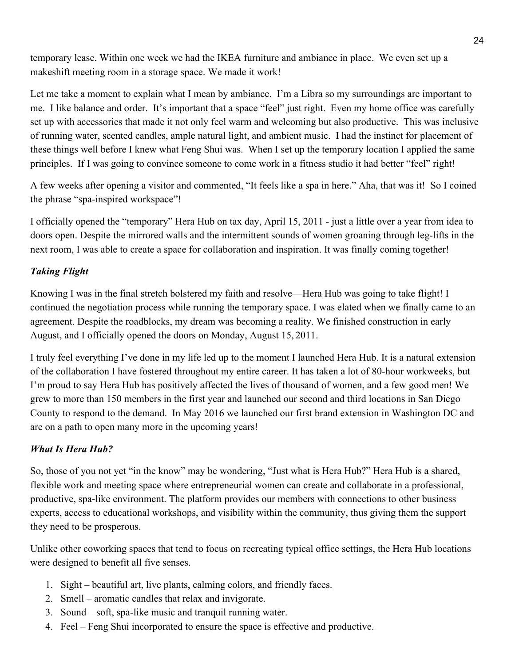temporary lease. Within one week we had the IKEA furniture and ambiance in place. We even set up a makeshift meeting room in a storage space. We made it work!

Let me take a moment to explain what I mean by ambiance. I'm a Libra so my surroundings are important to me. I like balance and order. It's important that a space "feel" just right. Even my home office was carefully set up with accessories that made it not only feel warm and welcoming but also productive. This was inclusive of running water, scented candles, ample natural light, and ambient music. I had the instinct for placement of these things well before I knew what Feng Shui was. When I set up the temporary location I applied the same principles. If I was going to convince someone to come work in a fitness studio it had better "feel" right!

A few weeks after opening a visitor and commented, "It feels like a spa in here." Aha, that was it! So I coined the phrase "spa-inspired workspace"!

I officially opened the "temporary" Hera Hub on tax day, April 15, 2011 - just a little over a year from idea to doors open. Despite the mirrored walls and the intermittent sounds of women groaning through leg-lifts in the next room, I was able to create a space for collaboration and inspiration. It was finally coming together!

#### *Taking Flight*

Knowing I was in the final stretch bolstered my faith and resolve—Hera Hub was going to take flight! I continued the negotiation process while running the temporary space. I was elated when we finally came to an agreement. Despite the roadblocks, my dream was becoming a reality. We finished construction in early August, and I officially opened the doors on Monday, August 15, 2011.

I truly feel everything I've done in my life led up to the moment I launched Hera Hub. It is a natural extension of the collaboration I have fostered throughout my entire career. It has taken a lot of 80-hour workweeks, but I'm proud to say Hera Hub has positively affected the lives of thousand of women, and a few good men! We grew to more than 150 members in the first year and launched our second and third locations in San Diego County to respond to the demand. In May 2016 we launched our first brand extension in Washington DC and are on a path to open many more in the upcoming years!

#### *What Is Hera Hub?*

So, those of you not yet "in the know" may be wondering, "Just what is Hera Hub?" Hera Hub is a shared, flexible work and meeting space where entrepreneurial women can create and collaborate in a professional, productive, spa-like environment. The platform provides our members with connections to other business experts, access to educational workshops, and visibility within the community, thus giving them the support they need to be prosperous.

Unlike other coworking spaces that tend to focus on recreating typical office settings, the Hera Hub locations were designed to benefit all five senses.

- 1. Sight beautiful art, live plants, calming colors, and friendly faces.
- 2. Smell aromatic candles that relax and invigorate.
- 3. Sound soft, spa-like music and tranquil running water.
- 4. Feel Feng Shui incorporated to ensure the space is effective and productive.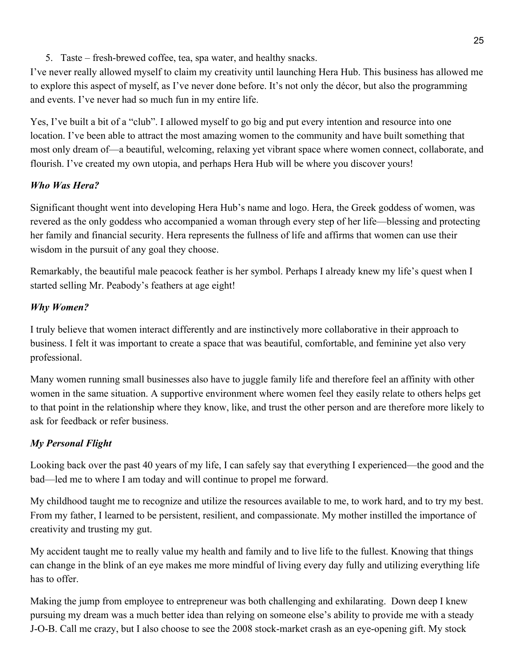5. Taste – fresh-brewed coffee, tea, spa water, and healthy snacks.

I've never really allowed myself to claim my creativity until launching Hera Hub. This business has allowed me to explore this aspect of myself, as I've never done before. It's not only the décor, but also the programming and events. I've never had so much fun in my entire life.

Yes, I've built a bit of a "club". I allowed myself to go big and put every intention and resource into one location. I've been able to attract the most amazing women to the community and have built something that most only dream of—a beautiful, welcoming, relaxing yet vibrant space where women connect, collaborate, and flourish. I've created my own utopia, and perhaps Hera Hub will be where you discover yours!

# *Who Was Hera?*

Significant thought went into developing Hera Hub's name and logo. Hera, the Greek goddess of women, was revered as the only goddess who accompanied a woman through every step of her life—blessing and protecting her family and financial security. Hera represents the fullness of life and affirms that women can use their wisdom in the pursuit of any goal they choose.

Remarkably, the beautiful male peacock feather is her symbol. Perhaps I already knew my life's quest when I started selling Mr. Peabody's feathers at age eight!

# *Why Women?*

I truly believe that women interact differently and are instinctively more collaborative in their approach to business. I felt it was important to create a space that was beautiful, comfortable, and feminine yet also very professional.

Many women running small businesses also have to juggle family life and therefore feel an affinity with other women in the same situation. A supportive environment where women feel they easily relate to others helps get to that point in the relationship where they know, like, and trust the other person and are therefore more likely to ask for feedback or refer business.

# *My Personal Flight*

Looking back over the past 40 years of my life, I can safely say that everything I experienced—the good and the bad—led me to where I am today and will continue to propel me forward.

My childhood taught me to recognize and utilize the resources available to me, to work hard, and to try my best. From my father, I learned to be persistent, resilient, and compassionate. My mother instilled the importance of creativity and trusting my gut.

My accident taught me to really value my health and family and to live life to the fullest. Knowing that things can change in the blink of an eye makes me more mindful of living every day fully and utilizing everything life has to offer.

Making the jump from employee to entrepreneur was both challenging and exhilarating. Down deep I knew pursuing my dream was a much better idea than relying on someone else's ability to provide me with a steady J-O-B. Call me crazy, but I also choose to see the 2008 stock-market crash as an eye-opening gift. My stock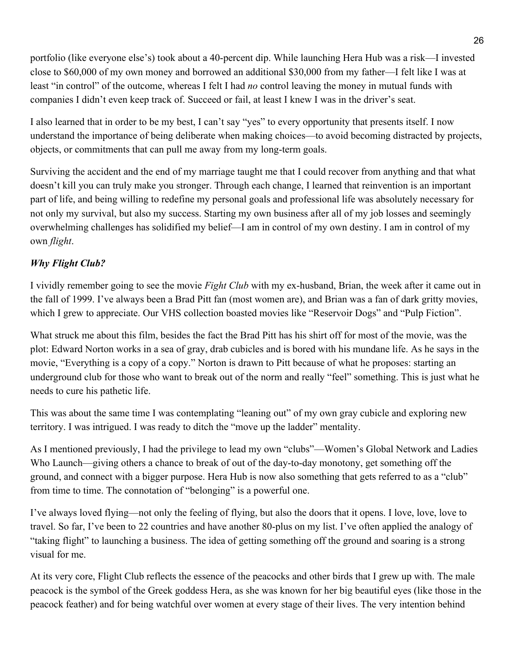portfolio (like everyone else's) took about a 40-percent dip. While launching Hera Hub was a risk—I invested close to \$60,000 of my own money and borrowed an additional \$30,000 from my father—I felt like I was at least "in control" of the outcome, whereas I felt I had *no* control leaving the money in mutual funds with companies I didn't even keep track of. Succeed or fail, at least I knew I was in the driver's seat.

I also learned that in order to be my best, I can't say "yes" to every opportunity that presents itself. I now understand the importance of being deliberate when making choices—to avoid becoming distracted by projects, objects, or commitments that can pull me away from my long-term goals.

Surviving the accident and the end of my marriage taught me that I could recover from anything and that what doesn't kill you can truly make you stronger. Through each change, I learned that reinvention is an important part of life, and being willing to redefine my personal goals and professional life was absolutely necessary for not only my survival, but also my success. Starting my own business after all of my job losses and seemingly overwhelming challenges has solidified my belief—I am in control of my own destiny. I am in control of my own *flight*.

# *Why Flight Club?*

I vividly remember going to see the movie *Fight Club* with my ex-husband, Brian, the week after it came out in the fall of 1999. I've always been a Brad Pitt fan (most women are), and Brian was a fan of dark gritty movies, which I grew to appreciate. Our VHS collection boasted movies like "Reservoir Dogs" and "Pulp Fiction".

What struck me about this film, besides the fact the Brad Pitt has his shirt off for most of the movie, was the plot: Edward Norton works in a sea of gray, drab cubicles and is bored with his mundane life. As he says in the movie, "Everything is a copy of a copy." Norton is drawn to Pitt because of what he proposes: starting an underground club for those who want to break out of the norm and really "feel" something. This is just what he needs to cure his pathetic life.

This was about the same time I was contemplating "leaning out" of my own gray cubicle and exploring new territory. I was intrigued. I was ready to ditch the "move up the ladder" mentality.

As I mentioned previously, I had the privilege to lead my own "clubs"—Women's Global Network and Ladies Who Launch—giving others a chance to break of out of the day-to-day monotony, get something off the ground, and connect with a bigger purpose. Hera Hub is now also something that gets referred to as a "club" from time to time. The connotation of "belonging" is a powerful one.

I've always loved flying—not only the feeling of flying, but also the doors that it opens. I love, love, love to travel. So far, I've been to 22 countries and have another 80-plus on my list. I've often applied the analogy of "taking flight" to launching a business. The idea of getting something off the ground and soaring is a strong visual for me.

At its very core, Flight Club reflects the essence of the peacocks and other birds that I grew up with. The male peacock is the symbol of the Greek goddess Hera, as she was known for her big beautiful eyes (like those in the peacock feather) and for being watchful over women at every stage of their lives. The very intention behind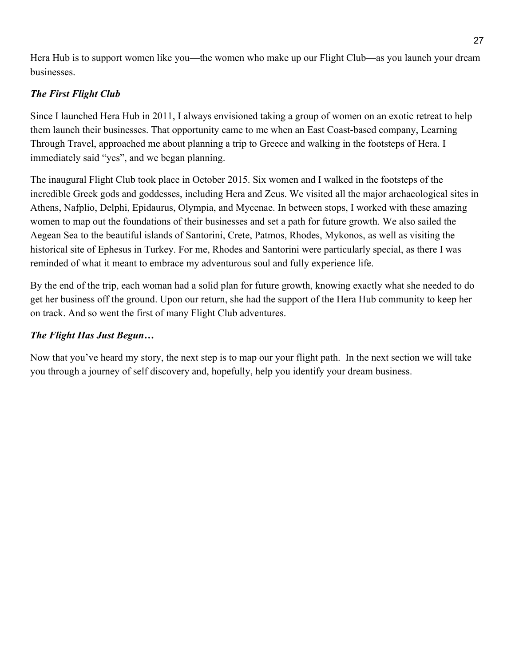Hera Hub is to support women like you—the women who make up our Flight Club—as you launch your dream businesses.

# *The First Flight Club*

Since I launched Hera Hub in 2011, I always envisioned taking a group of women on an exotic retreat to help them launch their businesses. That opportunity came to me when an East Coast-based company, Learning Through Travel, approached me about planning a trip to Greece and walking in the footsteps of Hera. I immediately said "yes", and we began planning.

The inaugural Flight Club took place in October 2015. Six women and I walked in the footsteps of the incredible Greek gods and goddesses, including Hera and Zeus. We visited all the major archaeological sites in Athens, Nafplio, Delphi, Epidaurus, Olympia, and Mycenae. In between stops, I worked with these amazing women to map out the foundations of their businesses and set a path for future growth. We also sailed the Aegean Sea to the beautiful islands of Santorini, Crete, Patmos, Rhodes, Mykonos, as well as visiting the historical site of Ephesus in Turkey. For me, Rhodes and Santorini were particularly special, as there I was reminded of what it meant to embrace my adventurous soul and fully experience life.

By the end of the trip, each woman had a solid plan for future growth, knowing exactly what she needed to do get her business off the ground. Upon our return, she had the support of the Hera Hub community to keep her on track. And so went the first of many Flight Club adventures.

# *The Flight Has Just Begun…*

Now that you've heard my story, the next step is to map our your flight path. In the next section we will take you through a journey of self discovery and, hopefully, help you identify your dream business.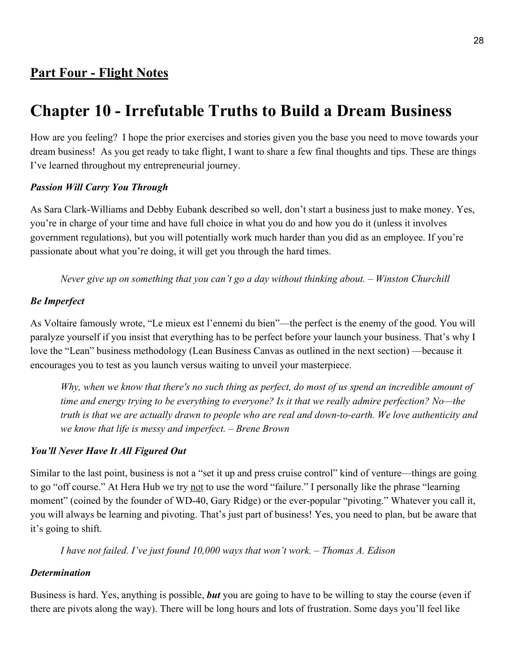# **Part Four - Flight Notes**

# **Chapter 10 - Irrefutable Truths to Build a Dream Business**

How are you feeling? I hope the prior exercises and stories given you the base you need to move towards your dream business! As you get ready to take flight, I want to share a few final thoughts and tips. These are things I've learned throughout my entrepreneurial journey.

#### *Passion Will Carry You Through*

As Sara Clark-Williams and Debby Eubank described so well, don't start a business just to make money. Yes, you're in charge of your time and have full choice in what you do and how you do it (unless it involves government regulations), but you will potentially work much harder than you did as an employee. If you're passionate about what you're doing, it will get you through the hard times.

*Never give up on something that you can't go a day without thinking about. – Winston Churchill*

#### *Be Imperfect*

As Voltaire famously wrote, "Le mieux est l'ennemi du bien"—the perfect is the enemy of the good. You will paralyze yourself if you insist that everything has to be perfect before your launch your business. That's why I love the "Lean" business methodology (Lean Business Canvas as outlined in the next section) —because it encourages you to test as you launch versus waiting to unveil your masterpiece.

*Why, when we know that there's no such thing as perfect, do most of us spend an incredible amount of time and energy trying to be everything to everyone? Is it that we really admire perfection? No—the truth is that we are actually drawn to people who are real and down-to-earth. We love authenticity and we know that life is messy and imperfect. – Brene Brown*

#### *You'll Never Have It All Figured Out*

Similar to the last point, business is not a "set it up and press cruise control" kind of venture—things are going to go "off course." At Hera Hub we try not to use the word "failure." I personally like the phrase "learning moment" (coined by the founder of WD-40, Gary Ridge) or the ever-popular "pivoting." Whatever you call it, you will always be learning and pivoting. That's just part of business! Yes, you need to plan, but be aware that it's going to shift.

*I have not failed. I've just found 10,000 ways that won't work. – Thomas A. Edison*

#### *Determination*

Business is hard. Yes, anything is possible, *but* you are going to have to be willing to stay the course (even if there are pivots along the way). There will be long hours and lots of frustration. Some days you'll feel like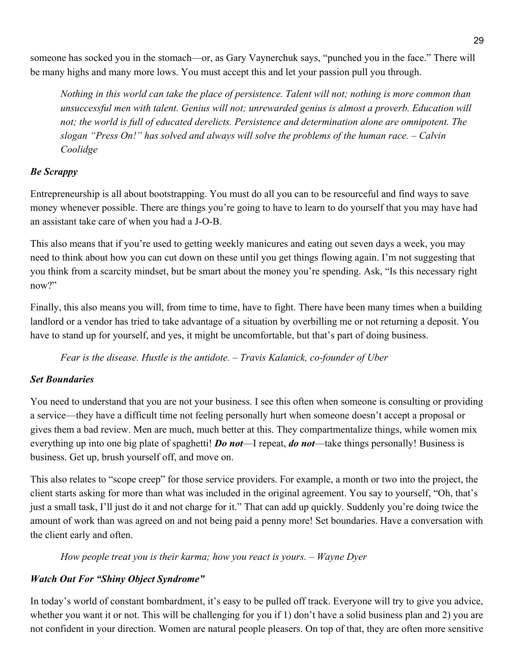someone has socked you in the stomach—or, as Gary Vaynerchuk says, "punched you in the face." There will be many highs and many more lows. You must accept this and let your passion pull you through.

*Nothing in this world can take the place of persistence. Talent will not; nothing is more common than unsuccessful men with talent. Genius will not; unrewarded genius is almost a proverb. Education will not; the world is full of educated derelicts. Persistence and determination alone are omnipotent. The slogan "Press On!" has solved and always will solve the problems of the human race. – Calvin Coolidge*

# *Be Scrappy*

Entrepreneurship is all about bootstrapping. You must do all you can to be resourceful and find ways to save money whenever possible. There are things you're going to have to learn to do yourself that you may have had an assistant take care of when you had a J-O-B.

This also means that if you're used to getting weekly manicures and eating out seven days a week, you may need to think about how you can cut down on these until you get things flowing again. I'm not suggesting that you think from a scarcity mindset, but be smart about the money you're spending. Ask, "Is this necessary right now?"

Finally, this also means you will, from time to time, have to fight. There have been many times when a building landlord or a vendor has tried to take advantage of a situation by overbilling me or not returning a deposit. You have to stand up for yourself, and yes, it might be uncomfortable, but that's part of doing business.

*Fear is the disease. Hustle is the antidote. – Travis Kalanick, co-founder of Uber*

# *Set Boundaries*

You need to understand that you are not your business. I see this often when someone is consulting or providing a service—they have a difficult time not feeling personally hurt when someone doesn't accept a proposal or gives them a bad review. Men are much, much better at this. They compartmentalize things, while women mix everything up into one big plate of spaghetti! *Do not*—I repeat, *do not*—take things personally! Business is business. Get up, brush yourself off, and move on.

This also relates to "scope creep" for those service providers. For example, a month or two into the project, the client starts asking for more than what was included in the original agreement. You say to yourself, "Oh, that's just a small task, I'll just do it and not charge for it." That can add up quickly. Suddenly you're doing twice the amount of work than was agreed on and not being paid a penny more! Set boundaries. Have a conversation with the client early and often.

*How people treat you is their karma; how you react is yours. – Wayne Dyer*

# *Watch Out For "Shiny Object Syndrome"*

In today's world of constant bombardment, it's easy to be pulled off track. Everyone will try to give you advice, whether you want it or not. This will be challenging for you if 1) don't have a solid business plan and 2) you are not confident in your direction. Women are natural people pleasers. On top of that, they are often more sensitive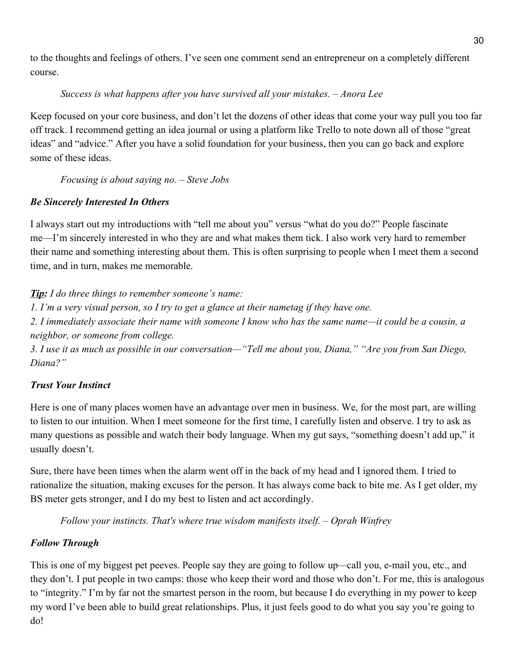to the thoughts and feelings of others. I've seen one comment send an entrepreneur on a completely different course.

#### *Success is what happens after you have survived all your mistakes. – Anora Lee*

Keep focused on your core business, and don't let the dozens of other ideas that come your way pull you too far off track. I recommend getting an idea journal or using a platform like Trello to note down all of those "great ideas" and "advice." After you have a solid foundation for your business, then you can go back and explore some of these ideas.

*Focusing is about saying no. – Steve Jobs*

# *Be Sincerely Interested In Others*

I always start out my introductions with "tell me about you" versus "what do you do?" People fascinate me—I'm sincerely interested in who they are and what makes them tick. I also work very hard to remember their name and something interesting about them. This is often surprising to people when I meet them a second time, and in turn, makes me memorable.

*Tip: I do three things to remember someone's name:*

*1. I'm a very visual person, so I try to get a glance at their nametag if they have one. 2. I immediately associate their name with someone I know who has the same name—it could be a cousin, a neighbor, or someone from college. 3. I use it as much as possible in our conversation—"Tell me about you, Diana," "Are you from San Diego,*

*Diana?"*

# *Trust Your Instinct*

Here is one of many places women have an advantage over men in business. We, for the most part, are willing to listen to our intuition. When I meet someone for the first time, I carefully listen and observe. I try to ask as many questions as possible and watch their body language. When my gut says, "something doesn't add up," it usually doesn't.

Sure, there have been times when the alarm went off in the back of my head and I ignored them. I tried to rationalize the situation, making excuses for the person. It has always come back to bite me. As I get older, my BS meter gets stronger, and I do my best to listen and act accordingly.

*Follow your instincts. That's where true wisdom manifests itself. – Oprah Winfrey*

# *Follow Through*

This is one of my biggest pet peeves. People say they are going to follow up*—*call you, e-mail you, etc., and they don't. I put people in two camps: those who keep their word and those who don't. For me, this is analogous to "integrity." I'm by far not the smartest person in the room, but because I do everything in my power to keep my word I've been able to build great relationships. Plus, it just feels good to do what you say you're going to do!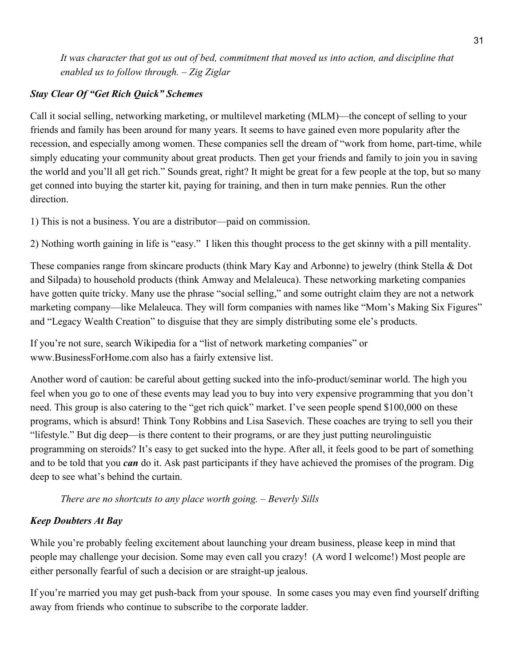*It was character that got us out of bed, commitment that moved us into action, and discipline that enabled us to follow through. – Zig Ziglar*

### *Stay Clear Of "Get Rich Quick" Schemes*

Call it social selling, networking marketing, or multilevel marketing (MLM)—the concept of selling to your friends and family has been around for many years. It seems to have gained even more popularity after the recession, and especially among women. These companies sell the dream of "work from home, part-time, while simply educating your community about great products. Then get your friends and family to join you in saving the world and you'll all get rich." Sounds great, right? It might be great for a few people at the top, but so many get conned into buying the starter kit, paying for training, and then in turn make pennies. Run the other direction.

1) This is not a business. You are a distributor—paid on commission.

2) Nothing worth gaining in life is "easy." I liken this thought process to the get skinny with a pill mentality.

These companies range from skincare products (think Mary Kay and Arbonne) to jewelry (think Stella & Dot and Silpada) to household products (think Amway and Melaleuca). These networking marketing companies have gotten quite tricky. Many use the phrase "social selling," and some outright claim they are not a network marketing company—like Melaleuca. They will form companies with names like "Mom's Making Six Figures" and "Legacy Wealth Creation" to disguise that they are simply distributing some ele's products.

If you're not sure, search Wikipedia for a "list of network marketing companies" or www.BusinessForHome.com also has a fairly extensive list.

Another word of caution: be careful about getting sucked into the info-product/seminar world. The high you feel when you go to one of these events may lead you to buy into very expensive programming that you don't need. This group is also catering to the "get rich quick" market. I've seen people spend \$100,000 on these programs, which is absurd! Think Tony Robbins and Lisa Sasevich. These coaches are trying to sell you their "lifestyle." But dig deep—is there content to their programs, or are they just putting neurolinguistic programming on steroids? It's easy to get sucked into the hype. After all, it feels good to be part of something and to be told that you *can* do it. Ask past participants if they have achieved the promises of the program. Dig deep to see what's behind the curtain.

*There are no shortcuts to any place worth going. – Beverly Sills*

# *Keep Doubters At Bay*

While you're probably feeling excitement about launching your dream business, please keep in mind that people may challenge your decision. Some may even call you crazy! (A word I welcome!) Most people are either personally fearful of such a decision or are straight-up jealous.

If you're married you may get push-back from your spouse. In some cases you may even find yourself drifting away from friends who continue to subscribe to the corporate ladder.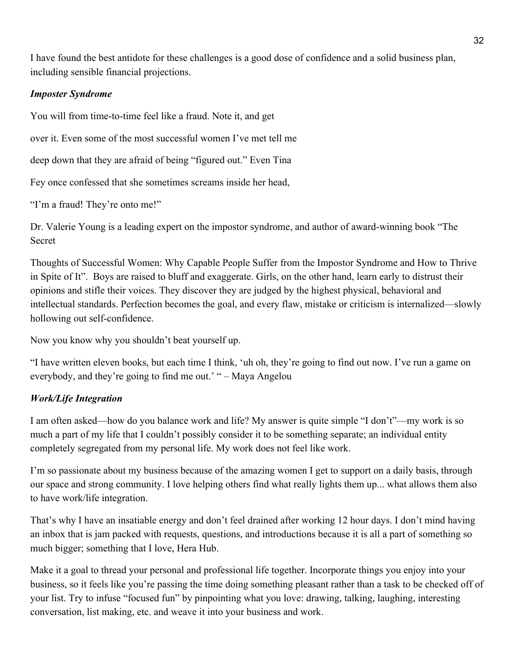I have found the best antidote for these challenges is a good dose of confidence and a solid business plan, including sensible financial projections.

#### *Imposter Syndrome*

You will from time-to-time feel like a fraud. Note it, and get

over it. Even some of the most successful women I've met tell me

deep down that they are afraid of being "figured out." Even Tina

Fey once confessed that she sometimes screams inside her head,

"I'm a fraud! They're onto me!"

Dr. Valerie Young is a leading expert on the impostor syndrome, and author of award-winning book "The Secret

Thoughts of Successful Women: Why Capable People Suffer from the Impostor Syndrome and How to Thrive in Spite of It". Boys are raised to bluff and exaggerate. Girls, on the other hand, learn early to distrust their opinions and stifle their voices. They discover they are judged by the highest physical, behavioral and intellectual standards. Perfection becomes the goal, and every flaw, mistake or criticism is internalized—slowly hollowing out self-confidence.

Now you know why you shouldn't beat yourself up.

"I have written eleven books, but each time I think, 'uh oh, they're going to find out now. I've run a game on everybody, and they're going to find me out.' " – Maya Angelou

#### *Work/Life Integration*

I am often asked—how do you balance work and life? My answer is quite simple "I don't"—my work is so much a part of my life that I couldn't possibly consider it to be something separate; an individual entity completely segregated from my personal life. My work does not feel like work.

I'm so passionate about my business because of the amazing women I get to support on a daily basis, through our space and strong community. I love helping others find what really lights them up... what allows them also to have work/life integration.

That's why I have an insatiable energy and don't feel drained after working 12 hour days. I don't mind having an inbox that is jam packed with requests, questions, and introductions because it is all a part of something so much bigger; something that I love, Hera Hub.

Make it a goal to thread your personal and professional life together. Incorporate things you enjoy into your business, so it feels like you're passing the time doing something pleasant rather than a task to be checked off of your list. Try to infuse "focused fun" by pinpointing what you love: drawing, talking, laughing, interesting conversation, list making, etc. and weave it into your business and work.